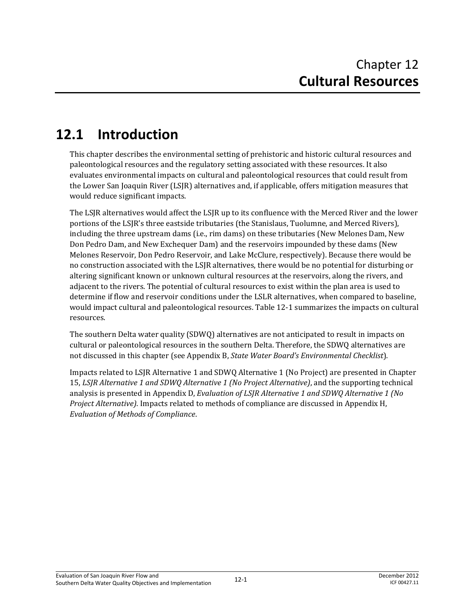# **12.1 Introduction**

This chapter describes the environmental setting of prehistoric and historic cultural resources and paleontological resources and the regulatory setting associated with these resources. It also evaluates environmental impacts on cultural and paleontological resources that could result from the Lower San Joaquin River (LSJR) alternatives and, if applicable, offers mitigation measures that would reduce significant impacts.

The LSJR alternatives would affect the LSJR up to its confluence with the Merced River and the lower portions of the LSJR's three eastside tributaries (the Stanislaus, Tuolumne, and Merced Rivers), including the three upstream dams (i.e., rim dams) on these tributaries (New Melones Dam, New Don Pedro Dam, and New Exchequer Dam) and the reservoirs impounded by these dams (New Melones Reservoir, Don Pedro Reservoir, and Lake McClure, respectively). Because there would be no construction associated with the LSJR alternatives, there would be no potential for disturbing or altering significant known or unknown cultural resources at the reservoirs, along the rivers, and adjacent to the rivers. The potential of cultural resources to exist within the plan area is used to determine if flow and reservoir conditions under the LSLR alternatives, when compared to baseline, would impact cultural and paleontological resources. Table 12-1 summarizes the impacts on cultural resources.

The southern Delta water quality (SDWQ) alternatives are not anticipated to result in impacts on cultural or paleontological resources in the southern Delta. Therefore, the SDWQ alternatives are not discussed in this chapter (see Appendix B, *State Water Board's Environmental Checklist*).

Impacts related to LSJR Alternative 1 and SDWQ Alternative 1 (No Project) are presented in Chapter 15, *LSJR Alternative 1 and SDWQ Alternative 1 (No Project Alternative)*, and the supporting technical analysis is presented in Appendix D, *Evaluation of LSJR Alternative 1 and SDWQ Alternative 1 (No Project Alternative)*. Impacts related to methods of compliance are discussed in Appendix H, *Evaluation of Methods of Compliance*.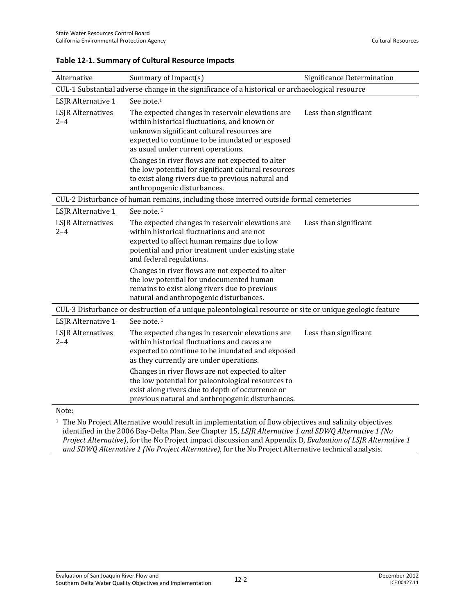| Alternative                                                                                              | Summary of Impact(s)                                                                                                                                                                                                                                | Significance Determination |  |  |  |  |
|----------------------------------------------------------------------------------------------------------|-----------------------------------------------------------------------------------------------------------------------------------------------------------------------------------------------------------------------------------------------------|----------------------------|--|--|--|--|
| CUL-1 Substantial adverse change in the significance of a historical or archaeological resource          |                                                                                                                                                                                                                                                     |                            |  |  |  |  |
| LSJR Alternative 1                                                                                       | See note. <sup>1</sup>                                                                                                                                                                                                                              |                            |  |  |  |  |
| <b>LSJR</b> Alternatives<br>$2 - 4$                                                                      | The expected changes in reservoir elevations are<br>within historical fluctuations, and known or<br>unknown significant cultural resources are<br>expected to continue to be inundated or exposed<br>as usual under current operations.             | Less than significant      |  |  |  |  |
|                                                                                                          | Changes in river flows are not expected to alter<br>the low potential for significant cultural resources<br>to exist along rivers due to previous natural and<br>anthropogenic disturbances.                                                        |                            |  |  |  |  |
|                                                                                                          | CUL-2 Disturbance of human remains, including those interred outside formal cemeteries                                                                                                                                                              |                            |  |  |  |  |
| LSJR Alternative 1                                                                                       | See note. <sup>1</sup>                                                                                                                                                                                                                              |                            |  |  |  |  |
| <b>LSJR</b> Alternatives<br>$2 - 4$                                                                      | The expected changes in reservoir elevations are<br>within historical fluctuations and are not<br>expected to affect human remains due to low<br>potential and prior treatment under existing state<br>and federal regulations.                     | Less than significant      |  |  |  |  |
|                                                                                                          | Changes in river flows are not expected to alter<br>the low potential for undocumented human<br>remains to exist along rivers due to previous<br>natural and anthropogenic disturbances.                                                            |                            |  |  |  |  |
| CUL-3 Disturbance or destruction of a unique paleontological resource or site or unique geologic feature |                                                                                                                                                                                                                                                     |                            |  |  |  |  |
| LSJR Alternative 1                                                                                       | See note. <sup>1</sup>                                                                                                                                                                                                                              |                            |  |  |  |  |
| <b>LSJR</b> Alternatives<br>$2 - 4$                                                                      | The expected changes in reservoir elevations are<br>within historical fluctuations and caves are<br>expected to continue to be inundated and exposed<br>as they currently are under operations.<br>Changes in river flows are not expected to alter | Less than significant      |  |  |  |  |
| $N \sim + \infty$                                                                                        | the low potential for paleontological resources to<br>exist along rivers due to depth of occurrence or<br>previous natural and anthropogenic disturbances.                                                                                          |                            |  |  |  |  |

#### **Table 12-1. Summary of Cultural Resource Impacts**

Note:

1 The No Project Alternative would result in implementation of flow objectives and salinity objectives identified in the 2006 Bay-Delta Plan. See Chapter 15, *LSJR Alternative 1 and SDWQ Alternative 1 (No Project Alternative)*, for the No Project impact discussion and Appendix D, *Evaluation of LSJR Alternative 1 and SDWQ Alternative 1 (No Project Alternative)*, for the No Project Alternative technical analysis.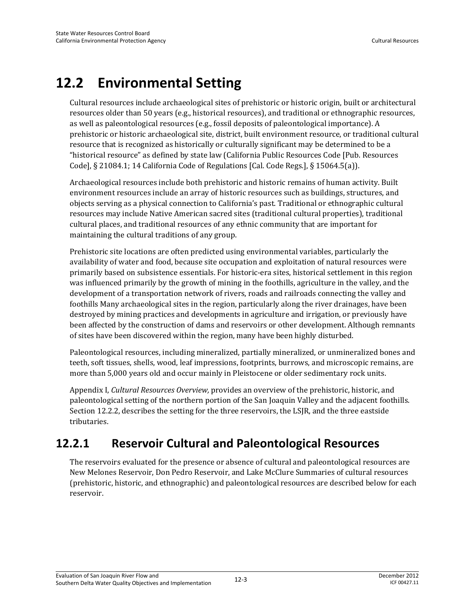# **12.2 Environmental Setting**

Cultural resources include archaeological sites of prehistoric or historic origin, built or architectural resources older than 50 years (e.g., historical resources), and traditional or ethnographic resources, as well as paleontological resources (e.g., fossil deposits of paleontological importance). A prehistoric or historic archaeological site, district, built environment resource, or traditional cultural resource that is recognized as historically or culturally significant may be determined to be a "historical resource" as defined by state law (California Public Resources Code [Pub. Resources Code], § 21084.1; 14 California Code of Regulations [Cal. Code Regs.], § 15064.5(a)).

Archaeological resources include both prehistoric and historic remains of human activity. Built environment resources include an array of historic resources such as buildings, structures, and objects serving as a physical connection to California's past. Traditional or ethnographic cultural resources may include Native American sacred sites (traditional cultural properties), traditional cultural places, and traditional resources of any ethnic community that are important for maintaining the cultural traditions of any group.

Prehistoric site locations are often predicted using environmental variables, particularly the availability of water and food, because site occupation and exploitation of natural resources were primarily based on subsistence essentials. For historic-era sites, historical settlement in this region was influenced primarily by the growth of mining in the foothills, agriculture in the valley, and the development of a transportation network of rivers, roads and railroads connecting the valley and foothills Many archaeological sites in the region, particularly along the river drainages, have been destroyed by mining practices and developments in agriculture and irrigation, or previously have been affected by the construction of dams and reservoirs or other development. Although remnants of sites have been discovered within the region, many have been highly disturbed.

Paleontological resources, including mineralized, partially mineralized, or unmineralized bones and teeth, soft tissues, shells, wood, leaf impressions, footprints, burrows, and microscopic remains, are more than 5,000 years old and occur mainly in Pleistocene or older sedimentary rock units.

Appendix I, *Cultural Resources Overview,* provides an overview of the prehistoric, historic, and paleontological setting of the northern portion of the San Joaquin Valley and the adjacent foothills. Section 12.2.2, describes the setting for the three reservoirs, the LSJR, and the three eastside tributaries.

# **12.2.1 Reservoir Cultural and Paleontological Resources**

The reservoirs evaluated for the presence or absence of cultural and paleontological resources are New Melones Reservoir, Don Pedro Reservoir, and Lake McClure Summaries of cultural resources (prehistoric, historic, and ethnographic) and paleontological resources are described below for each reservoir.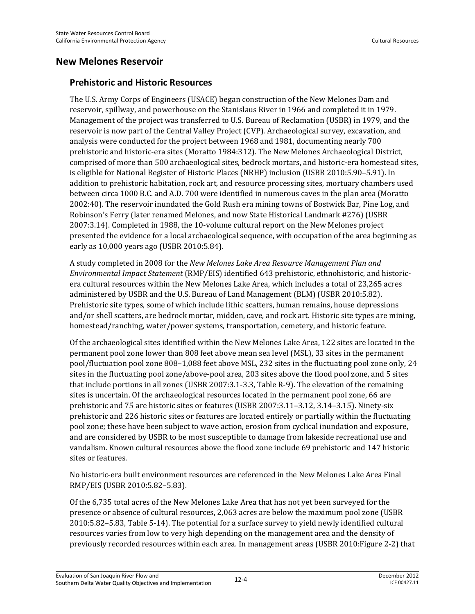### **New Melones Reservoir**

### **Prehistoric and Historic Resources**

The U.S. Army Corps of Engineers (USACE) began construction of the New Melones Dam and reservoir, spillway, and powerhouse on the Stanislaus River in 1966 and completed it in 1979. Management of the project was transferred to U.S. Bureau of Reclamation (USBR) in 1979, and the reservoir is now part of the Central Valley Project (CVP). Archaeological survey, excavation, and analysis were conducted for the project between 1968 and 1981, documenting nearly 700 prehistoric and historic-era sites (Moratto 1984:312). The New Melones Archaeological District, comprised of more than 500 archaeological sites, bedrock mortars, and historic-era homestead sites, is eligible for National Register of Historic Places (NRHP) inclusion (USBR 2010:5.90–5.91). In addition to prehistoric habitation, rock art, and resource processing sites, mortuary chambers used between circa 1000 B.C. and A.D. 700 were identified in numerous caves in the plan area (Moratto 2002:40). The reservoir inundated the Gold Rush era mining towns of Bostwick Bar, Pine Log, and Robinson's Ferry (later renamed Melones, and now State Historical Landmark #276) (USBR 2007:3.14). Completed in 1988, the 10-volume cultural report on the New Melones project presented the evidence for a local archaeological sequence, with occupation of the area beginning as early as 10,000 years ago (USBR 2010:5.84).

A study completed in 2008 for the *New Melones Lake Area Resource Management Plan and Environmental Impact Statement* (RMP/EIS) identified 643 prehistoric, ethnohistoric, and historicera cultural resources within the New Melones Lake Area, which includes a total of 23,265 acres administered by USBR and the U.S. Bureau of Land Management (BLM) (USBR 2010:5.82). Prehistoric site types, some of which include lithic scatters, human remains, house depressions and/or shell scatters, are bedrock mortar, midden, cave, and rock art. Historic site types are mining, homestead/ranching, water/power systems, transportation, cemetery, and historic feature.

Of the archaeological sites identified within the New Melones Lake Area, 122 sites are located in the permanent pool zone lower than 808 feet above mean sea level (MSL), 33 sites in the permanent pool/fluctuation pool zone 808–1,088 feet above MSL, 232 sites in the fluctuating pool zone only, 24 sites in the fluctuating pool zone/above-pool area, 203 sites above the flood pool zone, and 5 sites that include portions in all zones (USBR 2007:3.1-3.3, Table R-9). The elevation of the remaining sites is uncertain. Of the archaeological resources located in the permanent pool zone, 66 are prehistoric and 75 are historic sites or features (USBR 2007:3.11–3.12, 3.14–3.15). Ninety-six prehistoric and 226 historic sites or features are located entirely or partially within the fluctuating pool zone; these have been subject to wave action, erosion from cyclical inundation and exposure, and are considered by USBR to be most susceptible to damage from lakeside recreational use and vandalism. Known cultural resources above the flood zone include 69 prehistoric and 147 historic sites or features.

No historic-era built environment resources are referenced in the New Melones Lake Area Final RMP/EIS (USBR 2010:5.82–5.83).

Of the 6,735 total acres of the New Melones Lake Area that has not yet been surveyed for the presence or absence of cultural resources, 2,063 acres are below the maximum pool zone (USBR 2010:5.82–5.83, Table 5-14). The potential for a surface survey to yield newly identified cultural resources varies from low to very high depending on the management area and the density of previously recorded resources within each area. In management areas (USBR 2010:Figure 2-2) that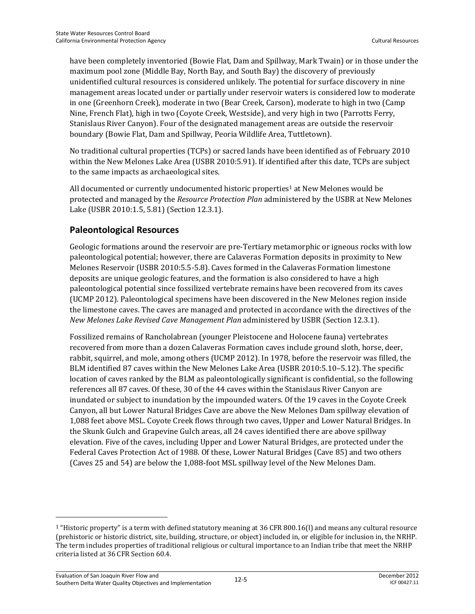have been completely inventoried (Bowie Flat, Dam and Spillway, Mark Twain) or in those under the maximum pool zone (Middle Bay, North Bay, and South Bay) the discovery of previously unidentified cultural resources is considered unlikely. The potential for surface discovery in nine management areas located under or partially under reservoir waters is considered low to moderate in one (Greenhorn Creek), moderate in two (Bear Creek, Carson), moderate to high in two (Camp Nine, French Flat), high in two (Coyote Creek, Westside), and very high in two (Parrotts Ferry, Stanislaus River Canyon). Four of the designated management areas are outside the reservoir boundary (Bowie Flat, Dam and Spillway, Peoria Wildlife Area, Tuttletown).

No traditional cultural properties (TCPs) or sacred lands have been identified as of February 2010 within the New Melones Lake Area (USBR 2010:5.91). If identified after this date, TCPs are subject to the same impacts as archaeological sites.

All documented or currently undocumented historic properties<sup>1</sup> at New Melones would be protected and managed by the *Resource Protection Plan* administered by the USBR at New Melones Lake (USBR 2010:1.5, 5.81) (Section 12.3.1).

### **Paleontological Resources**

Geologic formations around the reservoir are pre-Tertiary metamorphic or igneous rocks with low paleontological potential; however, there are Calaveras Formation deposits in proximity to New Melones Reservoir (USBR 2010:5.5-5.8). Caves formed in the Calaveras Formation limestone deposits are unique geologic features, and the formation is also considered to have a high paleontological potential since fossilized vertebrate remains have been recovered from its caves (UCMP 2012). Paleontological specimens have been discovered in the New Melones region inside the limestone caves. The caves are managed and protected in accordance with the directives of the *New Melones Lake Revised Cave Management Plan* administered by USBR (Section 12.3.1).

Fossilized remains of Rancholabrean (younger Pleistocene and Holocene fauna) vertebrates recovered from more than a dozen Calaveras Formation caves include ground sloth, horse, deer, rabbit, squirrel, and mole, among others (UCMP 2012). In 1978, before the reservoir was filled, the BLM identified 87 caves within the New Melones Lake Area (USBR 2010:5.10–5.12). The specific location of caves ranked by the BLM as paleontologically significant is confidential, so the following references all 87 caves. Of these, 30 of the 44 caves within the Stanislaus River Canyon are inundated or subject to inundation by the impounded waters. Of the 19 caves in the Coyote Creek Canyon, all but Lower Natural Bridges Cave are above the New Melones Dam spillway elevation of 1,088 feet above MSL. Coyote Creek flows through two caves, Upper and Lower Natural Bridges. In the Skunk Gulch and Grapevine Gulch areas, all 24 caves identified there are above spillway elevation. Five of the caves, including Upper and Lower Natural Bridges, are protected under the Federal Caves Protection Act of 1988. Of these, Lower Natural Bridges (Cave 85) and two others (Caves 25 and 54) are below the 1,088-foot MSL spillway level of the New Melones Dam.

 $\overline{\phantom{0}}$ 

<sup>1 &</sup>quot;Historic property" is a term with defined statutory meaning at 36 CFR 800.16(l) and means any cultural resource (prehistoric or historic district, site, building, structure, or object) included in, or eligible for inclusion in, the NRHP. The term includes properties of traditional religious or cultural importance to an Indian tribe that meet the NRHP criteria listed at 36 CFR Section 60.4.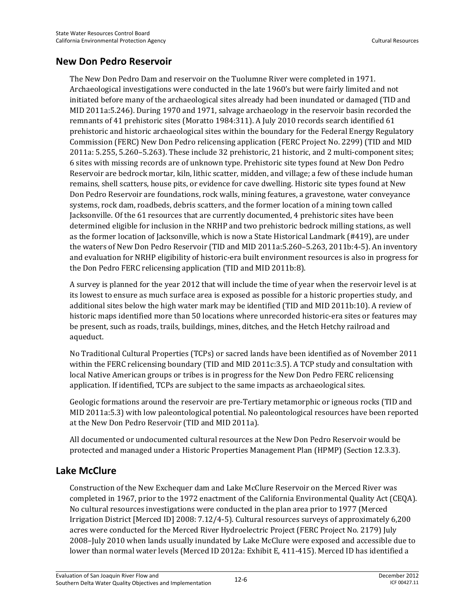### **New Don Pedro Reservoir**

The New Don Pedro Dam and reservoir on the Tuolumne River were completed in 1971. Archaeological investigations were conducted in the late 1960's but were fairly limited and not initiated before many of the archaeological sites already had been inundated or damaged (TID and MID 2011a:5.246). During 1970 and 1971, salvage archaeology in the reservoir basin recorded the remnants of 41 prehistoric sites (Moratto 1984:311). A July 2010 records search identified 61 prehistoric and historic archaeological sites within the boundary for the Federal Energy Regulatory Commission (FERC) New Don Pedro relicensing application (FERC Project No. 2299) (TID and MID 2011a: 5.255, 5.260–5.263). These include 32 prehistoric, 21 historic, and 2 multi-component sites; 6 sites with missing records are of unknown type. Prehistoric site types found at New Don Pedro Reservoir are bedrock mortar, kiln, lithic scatter, midden, and village; a few of these include human remains, shell scatters, house pits, or evidence for cave dwelling. Historic site types found at New Don Pedro Reservoir are foundations, rock walls, mining features, a gravestone, water conveyance systems, rock dam, roadbeds, debris scatters, and the former location of a mining town called Jacksonville. Of the 61 resources that are currently documented, 4 prehistoric sites have been determined eligible for inclusion in the NRHP and two prehistoric bedrock milling stations, as well as the former location of Jacksonville, which is now a State Historical Landmark (#419), are under the waters of New Don Pedro Reservoir (TID and MID 2011a:5.260–5.263, 2011b:4-5). An inventory and evaluation for NRHP eligibility of historic-era built environment resources is also in progress for the Don Pedro FERC relicensing application (TID and MID 2011b:8).

A survey is planned for the year 2012 that will include the time of year when the reservoir level is at its lowest to ensure as much surface area is exposed as possible for a historic properties study, and additional sites below the high water mark may be identified (TID and MID 2011b:10). A review of historic maps identified more than 50 locations where unrecorded historic-era sites or features may be present, such as roads, trails, buildings, mines, ditches, and the Hetch Hetchy railroad and aqueduct.

No Traditional Cultural Properties (TCPs) or sacred lands have been identified as of November 2011 within the FERC relicensing boundary (TID and MID 2011c:3.5). A TCP study and consultation with local Native American groups or tribes is in progress for the New Don Pedro FERC relicensing application. If identified, TCPs are subject to the same impacts as archaeological sites.

Geologic formations around the reservoir are pre-Tertiary metamorphic or igneous rocks (TID and MID 2011a:5.3) with low paleontological potential. No paleontological resources have been reported at the New Don Pedro Reservoir (TID and MID 2011a).

All documented or undocumented cultural resources at the New Don Pedro Reservoir would be protected and managed under a Historic Properties Management Plan (HPMP) (Section 12.3.3).

### **Lake McClure**

Construction of the New Exchequer dam and Lake McClure Reservoir on the Merced River was completed in 1967, prior to the 1972 enactment of the California Environmental Quality Act (CEQA). No cultural resources investigations were conducted in the plan area prior to 1977 (Merced Irrigation District [Merced ID] 2008: 7.12/4-5). Cultural resources surveys of approximately 6,200 acres were conducted for the Merced River Hydroelectric Project (FERC Project No. 2179) July 2008–July 2010 when lands usually inundated by Lake McClure were exposed and accessible due to lower than normal water levels (Merced ID 2012a: Exhibit E, 411-415). Merced ID has identified a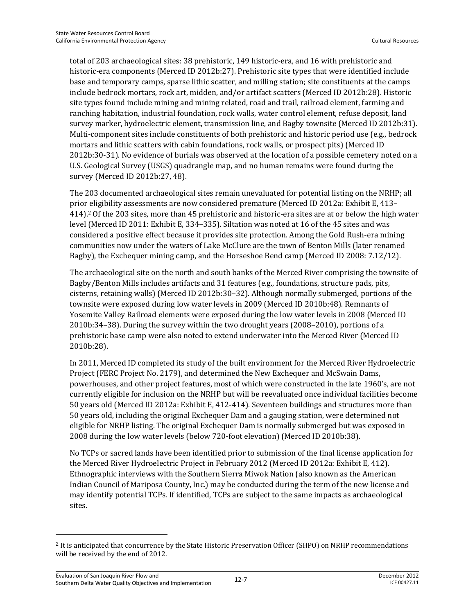total of 203 archaeological sites: 38 prehistoric, 149 historic-era, and 16 with prehistoric and historic-era components (Merced ID 2012b:27). Prehistoric site types that were identified include base and temporary camps, sparse lithic scatter, and milling station; site constituents at the camps include bedrock mortars, rock art, midden, and/or artifact scatters (Merced ID 2012b:28). Historic site types found include mining and mining related, road and trail, railroad element, farming and ranching habitation, industrial foundation, rock walls, water control element, refuse deposit, land survey marker, hydroelectric element, transmission line, and Bagby townsite (Merced ID 2012b:31). Multi-component sites include constituents of both prehistoric and historic period use (e.g., bedrock mortars and lithic scatters with cabin foundations, rock walls, or prospect pits) (Merced ID 2012b:30-31). No evidence of burials was observed at the location of a possible cemetery noted on a U.S. Geological Survey (USGS) quadrangle map, and no human remains were found during the survey (Merced ID 2012b:27, 48).

The 203 documented archaeological sites remain unevaluated for potential listing on the NRHP; all prior eligibility assessments are now considered premature (Merced ID 2012a: Exhibit E, 413– 414).2 Of the 203 sites, more than 45 prehistoric and historic-era sites are at or below the high water level (Merced ID 2011: Exhibit E, 334–335). Siltation was noted at 16 of the 45 sites and was considered a positive effect because it provides site protection. Among the Gold Rush-era mining communities now under the waters of Lake McClure are the town of Benton Mills (later renamed Bagby), the Exchequer mining camp, and the Horseshoe Bend camp (Merced ID 2008: 7.12/12).

The archaeological site on the north and south banks of the Merced River comprising the townsite of Bagby/Benton Mills includes artifacts and 31 features (e.g., foundations, structure pads, pits, cisterns, retaining walls) (Merced ID 2012b:30–32). Although normally submerged, portions of the townsite were exposed during low water levels in 2009 (Merced ID 2010b:48). Remnants of Yosemite Valley Railroad elements were exposed during the low water levels in 2008 (Merced ID 2010b:34–38). During the survey within the two drought years (2008–2010), portions of a prehistoric base camp were also noted to extend underwater into the Merced River (Merced ID 2010b:28).

In 2011, Merced ID completed its study of the built environment for the Merced River Hydroelectric Project (FERC Project No. 2179), and determined the New Exchequer and McSwain Dams, powerhouses, and other project features, most of which were constructed in the late 1960's, are not currently eligible for inclusion on the NRHP but will be reevaluated once individual facilities become 50 years old (Merced ID 2012a: Exhibit E, 412-414). Seventeen buildings and structures more than 50 years old, including the original Exchequer Dam and a gauging station, were determined not eligible for NRHP listing. The original Exchequer Dam is normally submerged but was exposed in 2008 during the low water levels (below 720-foot elevation) (Merced ID 2010b:38).

No TCPs or sacred lands have been identified prior to submission of the final license application for the Merced River Hydroelectric Project in February 2012 (Merced ID 2012a: Exhibit E, 412). Ethnographic interviews with the Southern Sierra Miwok Nation (also known as the American Indian Council of Mariposa County, Inc.) may be conducted during the term of the new license and may identify potential TCPs. If identified, TCPs are subject to the same impacts as archaeological sites.

 $\overline{a}$ 

<sup>2</sup> It is anticipated that concurrence by the State Historic Preservation Officer (SHPO) on NRHP recommendations will be received by the end of 2012.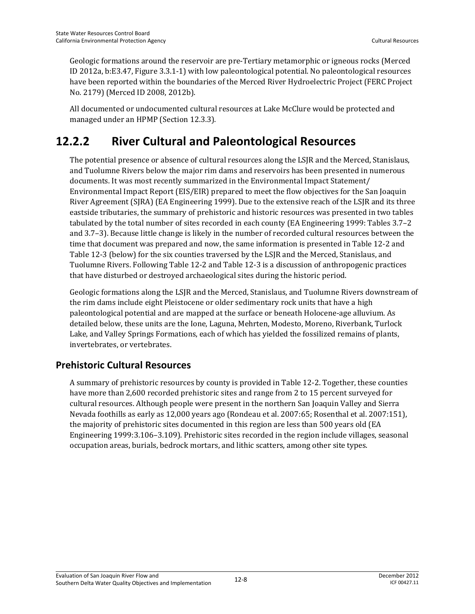Geologic formations around the reservoir are pre-Tertiary metamorphic or igneous rocks (Merced ID 2012a, b:E3.47, Figure 3.3.1-1) with low paleontological potential. No paleontological resources have been reported within the boundaries of the Merced River Hydroelectric Project (FERC Project No. 2179) (Merced ID 2008, 2012b).

All documented or undocumented cultural resources at Lake McClure would be protected and managed under an HPMP (Section 12.3.3).

# **12.2.2 River Cultural and Paleontological Resources**

The potential presence or absence of cultural resources along the LSJR and the Merced, Stanislaus, and Tuolumne Rivers below the major rim dams and reservoirs has been presented in numerous documents. It was most recently summarized in the Environmental Impact Statement/ Environmental Impact Report (EIS/EIR) prepared to meet the flow objectives for the San Joaquin River Agreement (SJRA) (EA Engineering 1999). Due to the extensive reach of the LSJR and its three eastside tributaries, the summary of prehistoric and historic resources was presented in two tables tabulated by the total number of sites recorded in each county (EA Engineering 1999: Tables 3.7–2 and 3.7–3). Because little change is likely in the number of recorded cultural resources between the time that document was prepared and now, the same information is presented in Table 12-2 and Table 12-3 (below) for the six counties traversed by the LSJR and the Merced, Stanislaus, and Tuolumne Rivers. Following Table 12-2 and Table 12-3 is a discussion of anthropogenic practices that have disturbed or destroyed archaeological sites during the historic period.

Geologic formations along the LSJR and the Merced, Stanislaus, and Tuolumne Rivers downstream of the rim dams include eight Pleistocene or older sedimentary rock units that have a high paleontological potential and are mapped at the surface or beneath Holocene-age alluvium. As detailed below, these units are the Ione, Laguna, Mehrten, Modesto, Moreno, Riverbank, Turlock Lake, and Valley Springs Formations, each of which has yielded the fossilized remains of plants, invertebrates, or vertebrates.

## **Prehistoric Cultural Resources**

A summary of prehistoric resources by county is provided in Table 12-2. Together, these counties have more than 2,600 recorded prehistoric sites and range from 2 to 15 percent surveyed for cultural resources. Although people were present in the northern San Joaquin Valley and Sierra Nevada foothills as early as 12,000 years ago (Rondeau et al. 2007:65; Rosenthal et al. 2007:151), the majority of prehistoric sites documented in this region are less than 500 years old (EA Engineering 1999:3.106–3.109). Prehistoric sites recorded in the region include villages, seasonal occupation areas, burials, bedrock mortars, and lithic scatters, among other site types.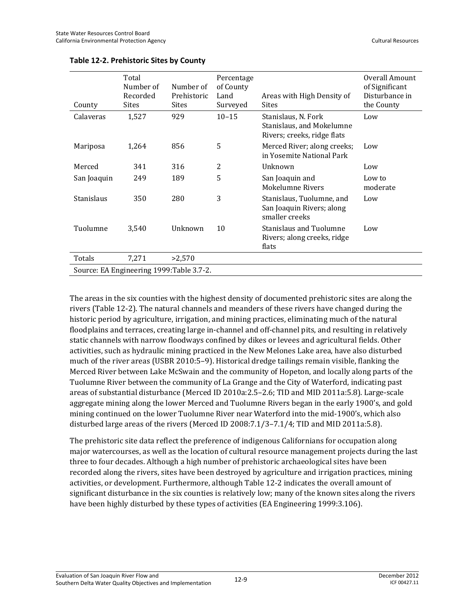| County                                    | Total<br>Number of<br>Recorded<br><b>Sites</b> | Number of<br>Prehistoric<br>Sites | Percentage<br>of County<br>Land<br>Surveyed | Areas with High Density of<br>Sites                                             | Overall Amount<br>of Significant<br>Disturbance in<br>the County |  |
|-------------------------------------------|------------------------------------------------|-----------------------------------|---------------------------------------------|---------------------------------------------------------------------------------|------------------------------------------------------------------|--|
| Calaveras                                 | 1,527                                          | 929                               | $10 - 15$                                   | Stanislaus, N. Fork<br>Stanislaus, and Mokelumne<br>Rivers; creeks, ridge flats | Low                                                              |  |
| Mariposa                                  | 1,264                                          | 856                               | 5                                           | Merced River; along creeks;<br>in Yosemite National Park                        | Low                                                              |  |
| Merced                                    | 341                                            | 316                               | 2                                           | Unknown                                                                         | Low                                                              |  |
| San Joaquin                               | 249                                            | 189                               | 5                                           | San Joaquin and<br>Mokelumne Rivers                                             | Low to<br>moderate                                               |  |
| Stanislaus                                | 350                                            | 280                               | 3                                           | Stanislaus, Tuolumne, and<br>San Joaquin Rivers; along<br>smaller creeks        | Low                                                              |  |
| Tuolumne                                  | 3,540                                          | Unknown                           | 10                                          | <b>Stanislaus and Tuolumne</b><br>Rivers; along creeks, ridge<br>flats          | Low                                                              |  |
| Totals                                    | 7,271                                          | >2,570                            |                                             |                                                                                 |                                                                  |  |
| Source: EA Engineering 1999: Table 3.7-2. |                                                |                                   |                                             |                                                                                 |                                                                  |  |

#### **Table 12-2. Prehistoric Sites by County**

The areas in the six counties with the highest density of documented prehistoric sites are along the rivers (Table 12-2). The natural channels and meanders of these rivers have changed during the historic period by agriculture, irrigation, and mining practices, eliminating much of the natural floodplains and terraces, creating large in-channel and off-channel pits, and resulting in relatively static channels with narrow floodways confined by dikes or levees and agricultural fields. Other activities, such as hydraulic mining practiced in the New Melones Lake area, have also disturbed much of the river areas (USBR 2010:5–9). Historical dredge tailings remain visible, flanking the Merced River between Lake McSwain and the community of Hopeton, and locally along parts of the Tuolumne River between the community of La Grange and the City of Waterford, indicating past areas of substantial disturbance (Merced ID 2010a:2.5–2.6; TID and MID 2011a:5.8). Large-scale aggregate mining along the lower Merced and Tuolumne Rivers began in the early 1900's, and gold mining continued on the lower Tuolumne River near Waterford into the mid-1900's, which also disturbed large areas of the rivers (Merced ID 2008:7.1/3–7.1/4; TID and MID 2011a:5.8).

The prehistoric site data reflect the preference of indigenous Californians for occupation along major watercourses, as well as the location of cultural resource management projects during the last three to four decades. Although a high number of prehistoric archaeological sites have been recorded along the rivers, sites have been destroyed by agriculture and irrigation practices, mining activities, or development. Furthermore, although Table 12-2 indicates the overall amount of significant disturbance in the six counties is relatively low; many of the known sites along the rivers have been highly disturbed by these types of activities (EA Engineering 1999:3.106).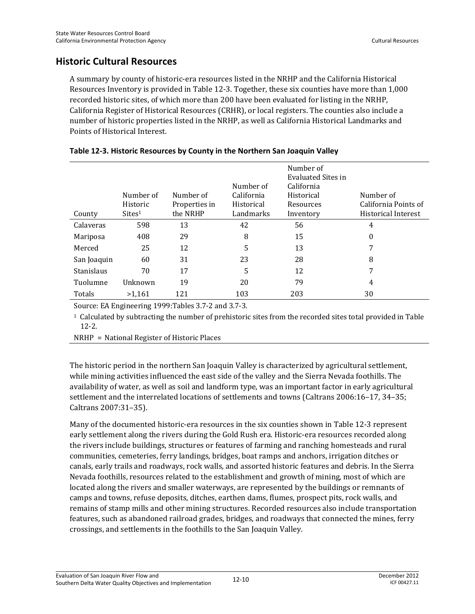### **Historic Cultural Resources**

A summary by county of historic-era resources listed in the NRHP and the California Historical Resources Inventory is provided in Table 12-3. Together, these six counties have more than 1,000 recorded historic sites, of which more than 200 have been evaluated for listing in the NRHP, California Register of Historical Resources (CRHR), or local registers. The counties also include a number of historic properties listed in the NRHP, as well as California Historical Landmarks and Points of Historical Interest.

|             | Number of<br>Historic | Number of<br>Properties in | Number of<br>California<br>Historical | Number of<br>Evaluated Sites in<br>California<br>Historical<br>Resources | Number of<br>California Points of |
|-------------|-----------------------|----------------------------|---------------------------------------|--------------------------------------------------------------------------|-----------------------------------|
| County      | Sites <sup>1</sup>    | the NRHP                   | Landmarks                             | Inventory                                                                | <b>Historical Interest</b>        |
| Calaveras   | 598                   | 13                         | 42                                    | 56                                                                       | 4                                 |
| Mariposa    | 408                   | 29                         | 8                                     | 15                                                                       | 0                                 |
| Merced      | 25                    | 12                         | 5                                     | 13                                                                       | 7                                 |
| San Joaquin | 60                    | 31                         | 23                                    | 28                                                                       | 8                                 |
| Stanislaus  | 70                    | 17                         | 5                                     | 12                                                                       | 7                                 |
| Tuolumne    | Unknown               | 19                         | 20                                    | 79                                                                       | 4                                 |
| Totals      | >1,161                | 121                        | 103                                   | 203                                                                      | 30                                |

### **Table 12-3. Historic Resources by County in the Northern San Joaquin Valley**

Source: EA Engineering 1999:Tables 3.7-2 and 3.7-3.

1 Calculated by subtracting the number of prehistoric sites from the recorded sites total provided in Table 12-2.

NRHP = National Register of Historic Places

The historic period in the northern San Joaquin Valley is characterized by agricultural settlement, while mining activities influenced the east side of the valley and the Sierra Nevada foothills. The availability of water, as well as soil and landform type, was an important factor in early agricultural settlement and the interrelated locations of settlements and towns (Caltrans 2006:16–17, 34–35; Caltrans 2007:31–35).

Many of the documented historic-era resources in the six counties shown in Table 12-3 represent early settlement along the rivers during the Gold Rush era. Historic-era resources recorded along the rivers include buildings, structures or features of farming and ranching homesteads and rural communities, cemeteries, ferry landings, bridges, boat ramps and anchors, irrigation ditches or canals, early trails and roadways, rock walls, and assorted historic features and debris. In the Sierra Nevada foothills, resources related to the establishment and growth of mining, most of which are located along the rivers and smaller waterways, are represented by the buildings or remnants of camps and towns, refuse deposits, ditches, earthen dams, flumes, prospect pits, rock walls, and remains of stamp mills and other mining structures. Recorded resources also include transportation features, such as abandoned railroad grades, bridges, and roadways that connected the mines, ferry crossings, and settlements in the foothills to the San Joaquin Valley.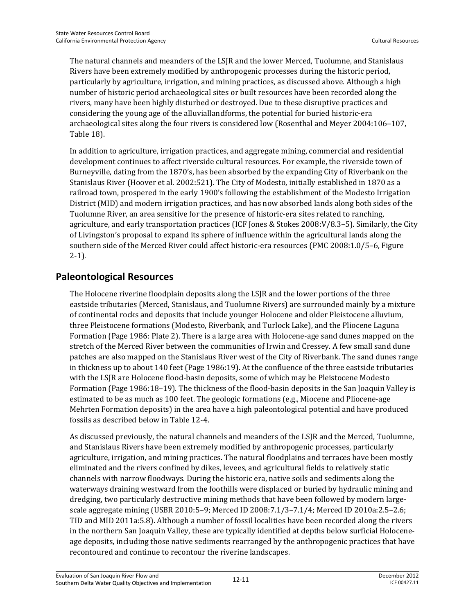The natural channels and meanders of the LSJR and the lower Merced, Tuolumne, and Stanislaus Rivers have been extremely modified by anthropogenic processes during the historic period, particularly by agriculture, irrigation, and mining practices, as discussed above. Although a high number of historic period archaeological sites or built resources have been recorded along the rivers, many have been highly disturbed or destroyed. Due to these disruptive practices and considering the young age of the alluviallandforms, the potential for buried historic-era archaeological sites along the four rivers is considered low (Rosenthal and Meyer 2004:106–107, Table 18).

In addition to agriculture, irrigation practices, and aggregate mining, commercial and residential development continues to affect riverside cultural resources. For example, the riverside town of Burneyville, dating from the 1870's, has been absorbed by the expanding City of Riverbank on the Stanislaus River (Hoover et al. 2002:521). The City of Modesto, initially established in 1870 as a railroad town, prospered in the early 1900's following the establishment of the Modesto Irrigation District (MID) and modern irrigation practices, and has now absorbed lands along both sides of the Tuolumne River, an area sensitive for the presence of historic-era sites related to ranching, agriculture, and early transportation practices (ICF Jones & Stokes 2008:V/8.3–5). Similarly, the City of Livingston's proposal to expand its sphere of influence within the agricultural lands along the southern side of the Merced River could affect historic-era resources (PMC 2008:1.0/5–6, Figure 2-1).

## **Paleontological Resources**

The Holocene riverine floodplain deposits along the LSJR and the lower portions of the three eastside tributaries (Merced, Stanislaus, and Tuolumne Rivers) are surrounded mainly by a mixture of continental rocks and deposits that include younger Holocene and older Pleistocene alluvium, three Pleistocene formations (Modesto, Riverbank, and Turlock Lake), and the Pliocene Laguna Formation (Page 1986: Plate 2). There is a large area with Holocene-age sand dunes mapped on the stretch of the Merced River between the communities of Irwin and Cressey. A few small sand dune patches are also mapped on the Stanislaus River west of the City of Riverbank. The sand dunes range in thickness up to about 140 feet (Page 1986:19). At the confluence of the three eastside tributaries with the LSJR are Holocene flood-basin deposits, some of which may be Pleistocene Modesto Formation (Page 1986:18–19). The thickness of the flood-basin deposits in the San Joaquin Valley is estimated to be as much as 100 feet. The geologic formations (e.g., Miocene and Pliocene-age Mehrten Formation deposits) in the area have a high paleontological potential and have produced fossils as described below in Table 12-4.

As discussed previously, the natural channels and meanders of the LSJR and the Merced, Tuolumne, and Stanislaus Rivers have been extremely modified by anthropogenic processes, particularly agriculture, irrigation, and mining practices. The natural floodplains and terraces have been mostly eliminated and the rivers confined by dikes, levees, and agricultural fields to relatively static channels with narrow floodways. During the historic era, native soils and sediments along the waterways draining westward from the foothills were displaced or buried by hydraulic mining and dredging, two particularly destructive mining methods that have been followed by modern largescale aggregate mining (USBR 2010:5–9; Merced ID 2008:7.1/3–7.1/4; Merced ID 2010a:2.5–2.6; TID and MID 2011a:5.8). Although a number of fossil localities have been recorded along the rivers in the northern San Joaquin Valley, these are typically identified at depths below surficial Holoceneage deposits, including those native sediments rearranged by the anthropogenic practices that have recontoured and continue to recontour the riverine landscapes.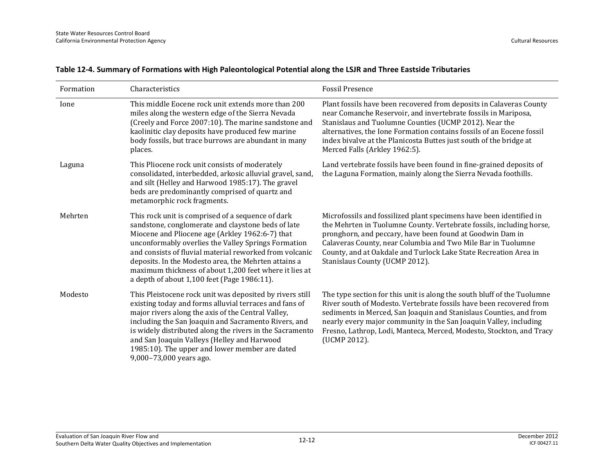| Formation | Characteristics                                                                                                                                                                                                                                                                                                                                                                                                                               | <b>Fossil Presence</b>                                                                                                                                                                                                                                                                                                                                                            |
|-----------|-----------------------------------------------------------------------------------------------------------------------------------------------------------------------------------------------------------------------------------------------------------------------------------------------------------------------------------------------------------------------------------------------------------------------------------------------|-----------------------------------------------------------------------------------------------------------------------------------------------------------------------------------------------------------------------------------------------------------------------------------------------------------------------------------------------------------------------------------|
| Ione      | This middle Eocene rock unit extends more than 200<br>miles along the western edge of the Sierra Nevada<br>(Creely and Force 2007:10). The marine sandstone and<br>kaolinitic clay deposits have produced few marine<br>body fossils, but trace burrows are abundant in many<br>places.                                                                                                                                                       | Plant fossils have been recovered from deposits in Calaveras County<br>near Comanche Reservoir, and invertebrate fossils in Mariposa,<br>Stanislaus and Tuolumne Counties (UCMP 2012). Near the<br>alternatives, the Ione Formation contains fossils of an Eocene fossil<br>index bivalve at the Planicosta Buttes just south of the bridge at<br>Merced Falls (Arkley 1962:5).   |
| Laguna    | This Pliocene rock unit consists of moderately<br>consolidated, interbedded, arkosic alluvial gravel, sand,<br>and silt (Helley and Harwood 1985:17). The gravel<br>beds are predominantly comprised of quartz and<br>metamorphic rock fragments.                                                                                                                                                                                             | Land vertebrate fossils have been found in fine-grained deposits of<br>the Laguna Formation, mainly along the Sierra Nevada foothills.                                                                                                                                                                                                                                            |
| Mehrten   | This rock unit is comprised of a sequence of dark<br>sandstone, conglomerate and claystone beds of late<br>Miocene and Pliocene age (Arkley 1962:6-7) that<br>unconformably overlies the Valley Springs Formation<br>and consists of fluvial material reworked from volcanic<br>deposits. In the Modesto area, the Mehrten attains a<br>maximum thickness of about 1,200 feet where it lies at<br>a depth of about 1,100 feet (Page 1986:11). | Microfossils and fossilized plant specimens have been identified in<br>the Mehrten in Tuolumne County. Vertebrate fossils, including horse,<br>pronghorn, and peccary, have been found at Goodwin Dam in<br>Calaveras County, near Columbia and Two Mile Bar in Tuolumne<br>County, and at Oakdale and Turlock Lake State Recreation Area in<br>Stanislaus County (UCMP 2012).    |
| Modesto   | This Pleistocene rock unit was deposited by rivers still<br>existing today and forms alluvial terraces and fans of<br>major rivers along the axis of the Central Valley,<br>including the San Joaquin and Sacramento Rivers, and<br>is widely distributed along the rivers in the Sacramento<br>and San Joaquin Valleys (Helley and Harwood<br>1985:10). The upper and lower member are dated<br>9,000-73,000 years ago.                      | The type section for this unit is along the south bluff of the Tuolumne<br>River south of Modesto. Vertebrate fossils have been recovered from<br>sediments in Merced, San Joaquin and Stanislaus Counties, and from<br>nearly every major community in the San Joaquin Valley, including<br>Fresno, Lathrop, Lodi, Manteca, Merced, Modesto, Stockton, and Tracy<br>(UCMP 2012). |

### **Table 12-4. Summary of Formations with High Paleontological Potential along the LSJR and Three Eastside Tributaries**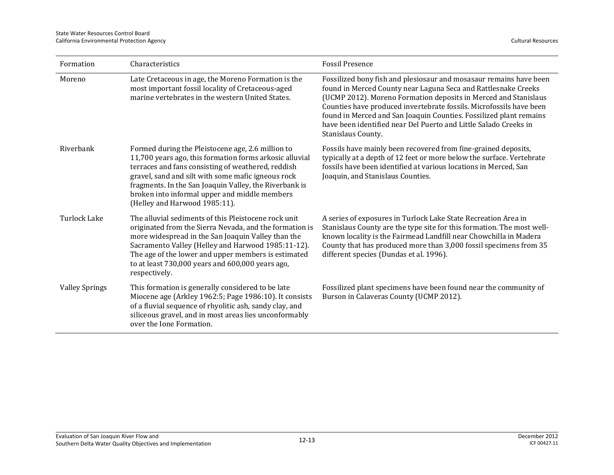| Formation             | Characteristics                                                                                                                                                                                                                                                                                                                                                      | <b>Fossil Presence</b>                                                                                                                                                                                                                                                                                                                                                                                                                         |
|-----------------------|----------------------------------------------------------------------------------------------------------------------------------------------------------------------------------------------------------------------------------------------------------------------------------------------------------------------------------------------------------------------|------------------------------------------------------------------------------------------------------------------------------------------------------------------------------------------------------------------------------------------------------------------------------------------------------------------------------------------------------------------------------------------------------------------------------------------------|
| Moreno                | Late Cretaceous in age, the Moreno Formation is the<br>most important fossil locality of Cretaceous-aged<br>marine vertebrates in the western United States.                                                                                                                                                                                                         | Fossilized bony fish and plesiosaur and mosasaur remains have been<br>found in Merced County near Laguna Seca and Rattlesnake Creeks<br>(UCMP 2012). Moreno Formation deposits in Merced and Stanislaus<br>Counties have produced invertebrate fossils. Microfossils have been<br>found in Merced and San Joaquin Counties. Fossilized plant remains<br>have been identified near Del Puerto and Little Salado Creeks in<br>Stanislaus County. |
| Riverbank             | Formed during the Pleistocene age, 2.6 million to<br>11,700 years ago, this formation forms arkosic alluvial<br>terraces and fans consisting of weathered, reddish<br>gravel, sand and silt with some mafic igneous rock<br>fragments. In the San Joaquin Valley, the Riverbank is<br>broken into informal upper and middle members<br>(Helley and Harwood 1985:11). | Fossils have mainly been recovered from fine-grained deposits,<br>typically at a depth of 12 feet or more below the surface. Vertebrate<br>fossils have been identified at various locations in Merced, San<br>Joaquin, and Stanislaus Counties.                                                                                                                                                                                               |
| Turlock Lake          | The alluvial sediments of this Pleistocene rock unit<br>originated from the Sierra Nevada, and the formation is<br>more widespread in the San Joaquin Valley than the<br>Sacramento Valley (Helley and Harwood 1985:11-12).<br>The age of the lower and upper members is estimated<br>to at least 730,000 years and 600,000 years ago,<br>respectively.              | A series of exposures in Turlock Lake State Recreation Area in<br>Stanislaus County are the type site for this formation. The most well-<br>known locality is the Fairmead Landfill near Chowchilla in Madera<br>County that has produced more than 3,000 fossil specimens from 35<br>different species (Dundas et al. 1996).                                                                                                                  |
| <b>Valley Springs</b> | This formation is generally considered to be late<br>Miocene age (Arkley 1962:5; Page 1986:10). It consists<br>of a fluvial sequence of rhyolitic ash, sandy clay, and<br>siliceous gravel, and in most areas lies unconformably<br>over the Ione Formation.                                                                                                         | Fossilized plant specimens have been found near the community of<br>Burson in Calaveras County (UCMP 2012).                                                                                                                                                                                                                                                                                                                                    |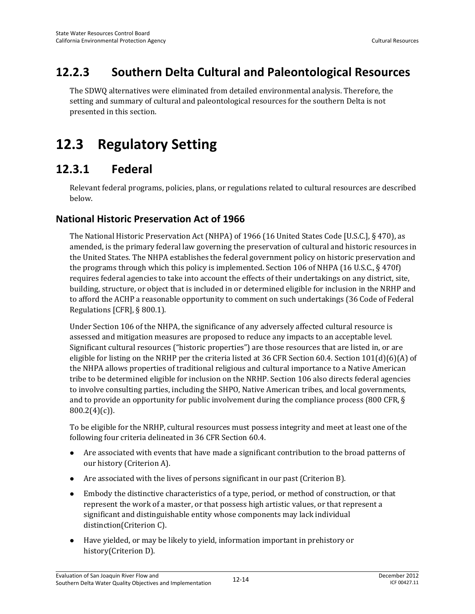# **12.2.3 Southern Delta Cultural and Paleontological Resources**

The SDWQ alternatives were eliminated from detailed environmental analysis. Therefore, the setting and summary of cultural and paleontological resources for the southern Delta is not presented in this section.

# **12.3 Regulatory Setting**

# **12.3.1 Federal**

Relevant federal programs, policies, plans, or regulations related to cultural resources are described below.

## **National Historic Preservation Act of 1966**

The National Historic Preservation Act (NHPA) of 1966 (16 United States Code [U.S.C.], § 470), as amended, is the primary federal law governing the preservation of cultural and historic resources in the United States. The NHPA establishes the federal government policy on historic preservation and the programs through which this policy is implemented. Section 106 of NHPA (16 U.S.C., § 470f) requires federal agencies to take into account the effects of their undertakings on any district, site, building, structure, or object that is included in or determined eligible for inclusion in the NRHP and to afford the ACHP a reasonable opportunity to comment on such undertakings (36 Code of Federal Regulations [CFR], § 800.1).

Under Section 106 of the NHPA, the significance of any adversely affected cultural resource is assessed and mitigation measures are proposed to reduce any impacts to an acceptable level. Significant cultural resources ("historic properties") are those resources that are listed in, or are eligible for listing on the NRHP per the criteria listed at 36 CFR Section 60.4. Section 101(d)(6)(A) of the NHPA allows properties of traditional religious and cultural importance to a Native American tribe to be determined eligible for inclusion on the NRHP. Section 106 also directs federal agencies to involve consulting parties, including the SHPO, Native American tribes, and local governments, and to provide an opportunity for public involvement during the compliance process (800 CFR, §  $800.2(4)(c)$ ).

To be eligible for the NRHP, cultural resources must possess integrity and meet at least one of the following four criteria delineated in 36 CFR Section 60.4.

- Are associated with events that have made a significant contribution to the broad patterns of our history (Criterion A).
- Are associated with the lives of persons significant in our past (Criterion B).
- Embody the distinctive characteristics of a type, period, or method of construction, or that represent the work of a master, or that possess high artistic values, or that represent a significant and distinguishable entity whose components may lack individual distinction(Criterion C).
- Have yielded, or may be likely to yield, information important in prehistory or history(Criterion D).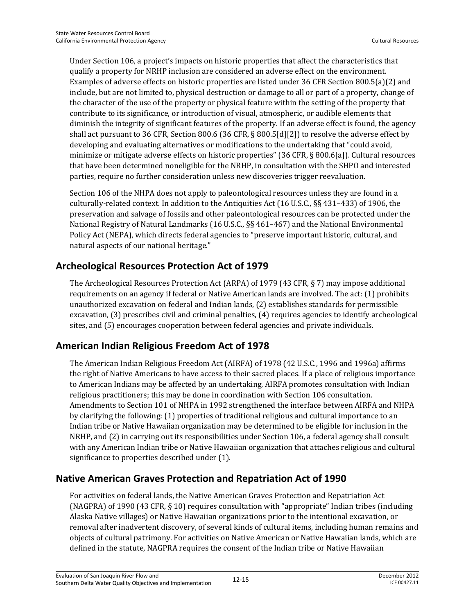Under Section 106, a project's impacts on historic properties that affect the characteristics that qualify a property for NRHP inclusion are considered an adverse effect on the environment. Examples of adverse effects on historic properties are listed under 36 CFR Section 800.5(a)(2) and include, but are not limited to, physical destruction or damage to all or part of a property, change of the character of the use of the property or physical feature within the setting of the property that contribute to its significance, or introduction of visual, atmospheric, or audible elements that diminish the integrity of significant features of the property. If an adverse effect is found, the agency shall act pursuant to 36 CFR, Section 800.6 (36 CFR, § 800.5[d][2]) to resolve the adverse effect by developing and evaluating alternatives or modifications to the undertaking that "could avoid, minimize or mitigate adverse effects on historic properties" (36 CFR, § 800.6[a]). Cultural resources that have been determined noneligible for the NRHP, in consultation with the SHPO and interested parties, require no further consideration unless new discoveries trigger reevaluation.

Section 106 of the NHPA does not apply to paleontological resources unless they are found in a culturally-related context. In addition to the Antiquities Act (16 U.S.C., §§ 431–433) of 1906, the preservation and salvage of fossils and other paleontological resources can be protected under the National Registry of Natural Landmarks (16 U.S.C., §§ 461–467) and the National Environmental Policy Act (NEPA), which directs federal agencies to "preserve important historic, cultural, and natural aspects of our national heritage."

## **Archeological Resources Protection Act of 1979**

The Archeological Resources Protection Act (ARPA) of 1979 (43 CFR, § 7) may impose additional requirements on an agency if federal or Native American lands are involved. The act: (1) prohibits unauthorized excavation on federal and Indian lands, (2) establishes standards for permissible excavation, (3) prescribes civil and criminal penalties, (4) requires agencies to identify archeological sites, and (5) encourages cooperation between federal agencies and private individuals.

## **American Indian Religious Freedom Act of 1978**

The American Indian Religious Freedom Act (AIRFA) of 1978 (42 U.S.C., 1996 and 1996a) affirms the right of Native Americans to have access to their sacred places. If a place of religious importance to American Indians may be affected by an undertaking, AIRFA promotes consultation with Indian religious practitioners; this may be done in coordination with Section 106 consultation. Amendments to Section 101 of NHPA in 1992 strengthened the interface between AIRFA and NHPA by clarifying the following: (1) properties of traditional religious and cultural importance to an Indian tribe or Native Hawaiian organization may be determined to be eligible for inclusion in the NRHP, and (2) in carrying out its responsibilities under Section 106, a federal agency shall consult with any American Indian tribe or Native Hawaiian organization that attaches religious and cultural significance to properties described under (1).

## **Native American Graves Protection and Repatriation Act of 1990**

For activities on federal lands, the Native American Graves Protection and Repatriation Act (NAGPRA) of 1990 (43 CFR, § 10) requires consultation with "appropriate" Indian tribes (including Alaska Native villages) or Native Hawaiian organizations prior to the intentional excavation, or removal after inadvertent discovery, of several kinds of cultural items, including human remains and objects of cultural patrimony. For activities on Native American or Native Hawaiian lands, which are defined in the statute, NAGPRA requires the consent of the Indian tribe or Native Hawaiian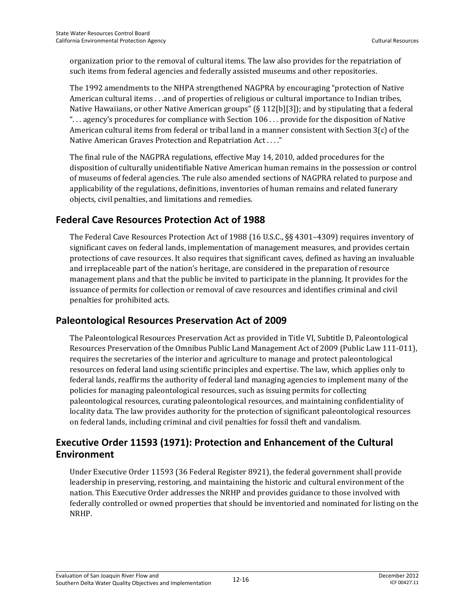organization prior to the removal of cultural items. The law also provides for the repatriation of such items from federal agencies and federally assisted museums and other repositories.

The 1992 amendments to the NHPA strengthened NAGPRA by encouraging "protection of Native American cultural items . . .and of properties of religious or cultural importance to Indian tribes, Native Hawaiians, or other Native American groups" (§ 112[b][3]); and by stipulating that a federal ". . . agency's procedures for compliance with Section 106 . . . provide for the disposition of Native American cultural items from federal or tribal land in a manner consistent with Section 3(c) of the Native American Graves Protection and Repatriation Act . . . ."

The final rule of the NAGPRA regulations, effective May 14, 2010, added procedures for the disposition of culturally unidentifiable Native American human remains in the possession or control of museums of federal agencies. The rule also amended sections of NAGPRA related to purpose and applicability of the regulations, definitions, inventories of human remains and related funerary objects, civil penalties, and limitations and remedies.

## **Federal Cave Resources Protection Act of 1988**

The Federal Cave Resources Protection Act of 1988 (16 U.S.C., §§ 4301–4309) requires inventory of significant caves on federal lands, implementation of management measures, and provides certain protections of cave resources. It also requires that significant caves, defined as having an invaluable and irreplaceable part of the nation's heritage, are considered in the preparation of resource management plans and that the public be invited to participate in the planning. It provides for the issuance of permits for collection or removal of cave resources and identifies criminal and civil penalties for prohibited acts.

## **Paleontological Resources Preservation Act of 2009**

The Paleontological Resources Preservation Act as provided in Title VI, Subtitle D, Paleontological Resources Preservation of the Omnibus Public Land Management Act of 2009 (Public Law 111-011), requires the secretaries of the interior and agriculture to manage and protect paleontological resources on federal land using scientific principles and expertise. The law, which applies only to federal lands, reaffirms the authority of federal land managing agencies to implement many of the policies for managing paleontological resources, such as issuing permits for collecting paleontological resources, curating paleontological resources, and maintaining confidentiality of locality data. The law provides authority for the protection of significant paleontological resources on federal lands, including criminal and civil penalties for fossil theft and vandalism.

## **Executive Order 11593 (1971): Protection and Enhancement of the Cultural Environment**

Under Executive Order 11593 (36 Federal Register 8921), the federal government shall provide leadership in preserving, restoring, and maintaining the historic and cultural environment of the nation. This Executive Order addresses the NRHP and provides guidance to those involved with federally controlled or owned properties that should be inventoried and nominated for listing on the NRHP.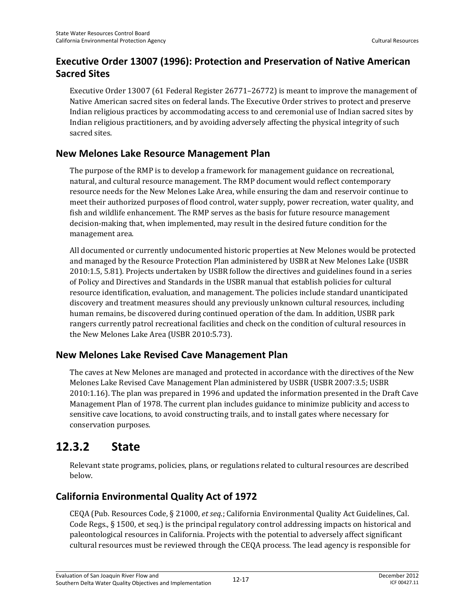## **Executive Order 13007 (1996): Protection and Preservation of Native American Sacred Sites**

Executive Order 13007 (61 Federal Register 26771–26772) is meant to improve the management of Native American sacred sites on federal lands. The Executive Order strives to protect and preserve Indian religious practices by accommodating access to and ceremonial use of Indian sacred sites by Indian religious practitioners, and by avoiding adversely affecting the physical integrity of such sacred sites.

## **New Melones Lake Resource Management Plan**

The purpose of the RMP is to develop a framework for management guidance on recreational, natural, and cultural resource management. The RMP document would reflect contemporary resource needs for the New Melones Lake Area, while ensuring the dam and reservoir continue to meet their authorized purposes of flood control, water supply, power recreation, water quality, and fish and wildlife enhancement. The RMP serves as the basis for future resource management decision-making that, when implemented, may result in the desired future condition for the management area.

All documented or currently undocumented historic properties at New Melones would be protected and managed by the Resource Protection Plan administered by USBR at New Melones Lake (USBR 2010:1.5, 5.81). Projects undertaken by USBR follow the directives and guidelines found in a series of Policy and Directives and Standards in the USBR manual that establish policies for cultural resource identification, evaluation, and management. The policies include standard unanticipated discovery and treatment measures should any previously unknown cultural resources, including human remains, be discovered during continued operation of the dam. In addition, USBR park rangers currently patrol recreational facilities and check on the condition of cultural resources in the New Melones Lake Area (USBR 2010:5.73).

## **New Melones Lake Revised Cave Management Plan**

The caves at New Melones are managed and protected in accordance with the directives of the New Melones Lake Revised Cave Management Plan administered by USBR (USBR 2007:3.5; USBR 2010:1.16). The plan was prepared in 1996 and updated the information presented in the Draft Cave Management Plan of 1978. The current plan includes guidance to minimize publicity and access to sensitive cave locations, to avoid constructing trails, and to install gates where necessary for conservation purposes.

# **12.3.2 State**

Relevant state programs, policies, plans, or regulations related to cultural resources are described below.

## **California Environmental Quality Act of 1972**

CEQA (Pub. Resources Code, § 21000, *et seq*.; California Environmental Quality Act Guidelines, Cal. Code Regs., § 1500, et seq.) is the principal regulatory control addressing impacts on historical and paleontological resources in California. Projects with the potential to adversely affect significant cultural resources must be reviewed through the CEQA process. The lead agency is responsible for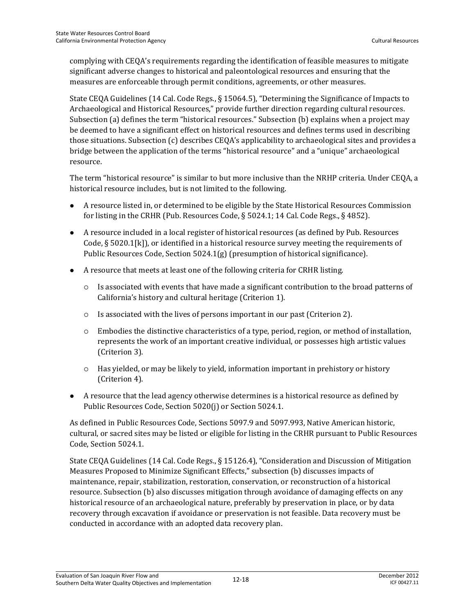complying with CEQA's requirements regarding the identification of feasible measures to mitigate significant adverse changes to historical and paleontological resources and ensuring that the measures are enforceable through permit conditions, agreements, or other measures.

State CEQA Guidelines (14 Cal. Code Regs., § 15064.5), "Determining the Significance of Impacts to Archaeological and Historical Resources," provide further direction regarding cultural resources. Subsection (a) defines the term "historical resources." Subsection (b) explains when a project may be deemed to have a significant effect on historical resources and defines terms used in describing those situations. Subsection (c) describes CEQA's applicability to archaeological sites and provides a bridge between the application of the terms "historical resource" and a "unique" archaeological resource.

The term "historical resource" is similar to but more inclusive than the NRHP criteria. Under CEQA, a historical resource includes, but is not limited to the following.

- A resource listed in, or determined to be eligible by the State Historical Resources Commission for listing in the CRHR (Pub. Resources Code, § 5024.1; 14 Cal. Code Regs., § 4852).
- A resource included in a local register of historical resources (as defined by Pub. Resources Code, § 5020.1[k]), or identified in a historical resource survey meeting the requirements of Public Resources Code, Section 5024.1(g) (presumption of historical significance).
- A resource that meets at least one of the following criteria for CRHR listing.
	- $\circ$  Is associated with events that have made a significant contribution to the broad patterns of California's history and cultural heritage (Criterion 1).
	- Is associated with the lives of persons important in our past (Criterion 2).
	- $\circ$  Embodies the distinctive characteristics of a type, period, region, or method of installation, represents the work of an important creative individual, or possesses high artistic values (Criterion 3).
	- Has yielded, or may be likely to yield, information important in prehistory or history (Criterion 4).
- A resource that the lead agency otherwise determines is a historical resource as defined by Public Resources Code, Section 5020(j) or Section 5024.1.

As defined in Public Resources Code, Sections 5097.9 and 5097.993, Native American historic, cultural, or sacred sites may be listed or eligible for listing in the CRHR pursuant to Public Resources Code, Section 5024.1.

State CEQA Guidelines (14 Cal. Code Regs., § 15126.4), "Consideration and Discussion of Mitigation Measures Proposed to Minimize Significant Effects," subsection (b) discusses impacts of maintenance, repair, stabilization, restoration, conservation, or reconstruction of a historical resource. Subsection (b) also discusses mitigation through avoidance of damaging effects on any historical resource of an archaeological nature, preferably by preservation in place, or by data recovery through excavation if avoidance or preservation is not feasible. Data recovery must be conducted in accordance with an adopted data recovery plan.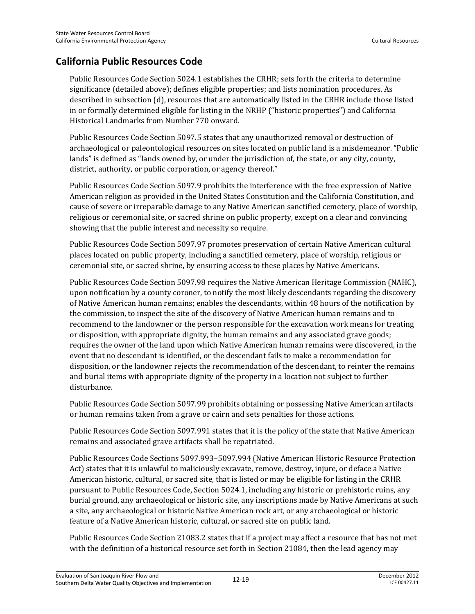## **California Public Resources Code**

Public Resources Code Section 5024.1 establishes the CRHR; sets forth the criteria to determine significance (detailed above); defines eligible properties; and lists nomination procedures. As described in subsection (d), resources that are automatically listed in the CRHR include those listed in or formally determined eligible for listing in the NRHP ("historic properties") and California Historical Landmarks from Number 770 onward.

Public Resources Code Section 5097.5 states that any unauthorized removal or destruction of archaeological or paleontological resources on sites located on public land is a misdemeanor. "Public lands" is defined as "lands owned by, or under the jurisdiction of, the state, or any city, county, district, authority, or public corporation, or agency thereof."

Public Resources Code Section 5097.9 prohibits the interference with the free expression of Native American religion as provided in the United States Constitution and the California Constitution, and cause of severe or irreparable damage to any Native American sanctified cemetery, place of worship, religious or ceremonial site, or sacred shrine on public property, except on a clear and convincing showing that the public interest and necessity so require.

Public Resources Code Section 5097.97 promotes preservation of certain Native American cultural places located on public property, including a sanctified cemetery, place of worship, religious or ceremonial site, or sacred shrine, by ensuring access to these places by Native Americans.

Public Resources Code Section 5097.98 requires the Native American Heritage Commission (NAHC), upon notification by a county coroner, to notify the most likely descendants regarding the discovery of Native American human remains; enables the descendants, within 48 hours of the notification by the commission, to inspect the site of the discovery of Native American human remains and to recommend to the landowner or the person responsible for the excavation work means for treating or disposition, with appropriate dignity, the human remains and any associated grave goods; requires the owner of the land upon which Native American human remains were discovered, in the event that no descendant is identified, or the descendant fails to make a recommendation for disposition, or the landowner rejects the recommendation of the descendant, to reinter the remains and burial items with appropriate dignity of the property in a location not subject to further disturbance.

Public Resources Code Section 5097.99 prohibits obtaining or possessing Native American artifacts or human remains taken from a grave or cairn and sets penalties for those actions.

Public Resources Code Section 5097.991 states that it is the policy of the state that Native American remains and associated grave artifacts shall be repatriated.

Public Resources Code Sections 5097.993–5097.994 (Native American Historic Resource Protection Act) states that it is unlawful to maliciously excavate, remove, destroy, injure, or deface a Native American historic, cultural, or sacred site, that is listed or may be eligible for listing in the CRHR pursuant to Public Resources Code, Section 5024.1, including any historic or prehistoric ruins, any burial ground, any archaeological or historic site, any inscriptions made by Native Americans at such a site, any archaeological or historic Native American rock art, or any archaeological or historic feature of a Native American historic, cultural, or sacred site on public land.

Public Resources Code Section 21083.2 states that if a project may affect a resource that has not met with the definition of a historical resource set forth in Section 21084, then the lead agency may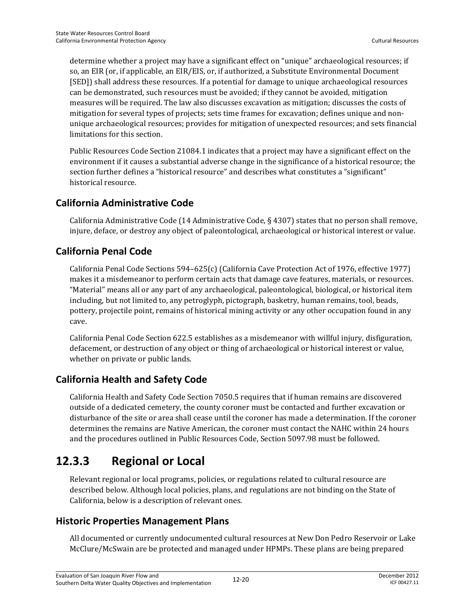determine whether a project may have a significant effect on "unique" archaeological resources; if so, an EIR (or, if applicable, an EIR/EIS, or, if authorized, a Substitute Environmental Document [SED]) shall address these resources. If a potential for damage to unique archaeological resources can be demonstrated, such resources must be avoided; if they cannot be avoided, mitigation measures will be required. The law also discusses excavation as mitigation; discusses the costs of mitigation for several types of projects; sets time frames for excavation; defines unique and nonunique archaeological resources; provides for mitigation of unexpected resources; and sets financial limitations for this section.

Public Resources Code Section 21084.1 indicates that a project may have a significant effect on the environment if it causes a substantial adverse change in the significance of a historical resource; the section further defines a "historical resource" and describes what constitutes a "significant" historical resource.

## **California Administrative Code**

California Administrative Code (14 Administrative Code, § 4307) states that no person shall remove, injure, deface, or destroy any object of paleontological, archaeological or historical interest or value.

## **California Penal Code**

California Penal Code Sections 594–625(c) (California Cave Protection Act of 1976, effective 1977) makes it a misdemeanor to perform certain acts that damage cave features, materials, or resources. "Material" means all or any part of any archaeological, paleontological, biological, or historical item including, but not limited to, any petroglyph, pictograph, basketry, human remains, tool, beads, pottery, projectile point, remains of historical mining activity or any other occupation found in any cave.

California Penal Code Section 622.5 establishes as a misdemeanor with willful injury, disfiguration, defacement, or destruction of any object or thing of archaeological or historical interest or value, whether on private or public lands.

## **California Health and Safety Code**

California Health and Safety Code Section 7050.5 requires that if human remains are discovered outside of a dedicated cemetery, the county coroner must be contacted and further excavation or disturbance of the site or area shall cease until the coroner has made a determination. If the coroner determines the remains are Native American, the coroner must contact the NAHC within 24 hours and the procedures outlined in Public Resources Code, Section 5097.98 must be followed.

# **12.3.3 Regional or Local**

Relevant regional or local programs, policies, or regulations related to cultural resource are described below. Although local policies, plans, and regulations are not binding on the State of California, below is a description of relevant ones.

## **Historic Properties Management Plans**

All documented or currently undocumented cultural resources at New Don Pedro Reservoir or Lake McClure/McSwain are be protected and managed under HPMPs. These plans are being prepared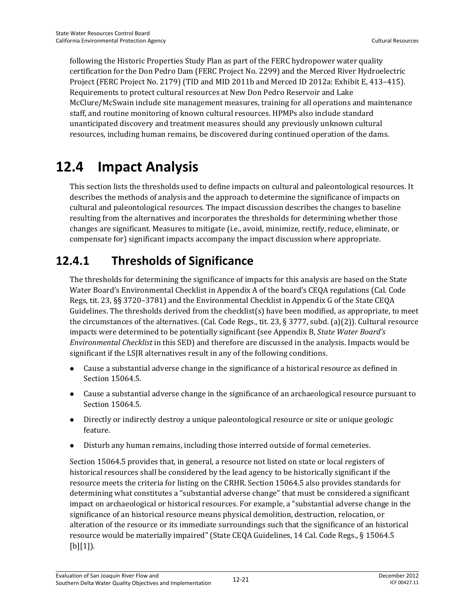following the Historic Properties Study Plan as part of the FERC hydropower water quality certification for the Don Pedro Dam (FERC Project No. 2299) and the Merced River Hydroelectric Project (FERC Project No. 2179) (TID and MID 2011b and Merced ID 2012a: Exhibit E, 413–415). Requirements to protect cultural resources at New Don Pedro Reservoir and Lake McClure/McSwain include site management measures, training for all operations and maintenance staff, and routine monitoring of known cultural resources. HPMPs also include standard unanticipated discovery and treatment measures should any previously unknown cultural resources, including human remains, be discovered during continued operation of the dams.

# **12.4 Impact Analysis**

This section lists the thresholds used to define impacts on cultural and paleontological resources. It describes the methods of analysis and the approach to determine the significance of impacts on cultural and paleontological resources. The impact discussion describes the changes to baseline resulting from the alternatives and incorporates the thresholds for determining whether those changes are significant. Measures to mitigate (i.e., avoid, minimize, rectify, reduce, eliminate, or compensate for) significant impacts accompany the impact discussion where appropriate.

# **12.4.1 Thresholds of Significance**

The thresholds for determining the significance of impacts for this analysis are based on the State Water Board's Environmental Checklist in Appendix A of the board's CEQA regulations (Cal. Code Regs, tit. 23, §§ 3720–3781) and the Environmental Checklist in Appendix G of the State CEQA Guidelines. The thresholds derived from the checklist(s) have been modified, as appropriate, to meet the circumstances of the alternatives. (Cal. Code Regs., tit. 23, § 3777, subd. (a)(2)). Cultural resource impacts were determined to be potentially significant (see Appendix B, *State Water Board's Environmental Checklist* in this SED) and therefore are discussed in the analysis. Impacts would be significant if the LSJR alternatives result in any of the following conditions.

- Cause a substantial adverse change in the significance of a historical resource as defined in Section 15064.5.
- Cause a substantial adverse change in the significance of an archaeological resource pursuant to Section 15064.5.
- Directly or indirectly destroy a unique paleontological resource or site or unique geologic feature.
- Disturb any human remains, including those interred outside of formal cemeteries.

Section 15064.5 provides that, in general, a resource not listed on state or local registers of historical resources shall be considered by the lead agency to be historically significant if the resource meets the criteria for listing on the CRHR. Section 15064.5 also provides standards for determining what constitutes a "substantial adverse change" that must be considered a significant impact on archaeological or historical resources. For example, a "substantial adverse change in the significance of an historical resource means physical demolition, destruction, relocation, or alteration of the resource or its immediate surroundings such that the significance of an historical resource would be materially impaired" (State CEQA Guidelines, 14 Cal. Code Regs., § 15064.5  $[b][1]$ ).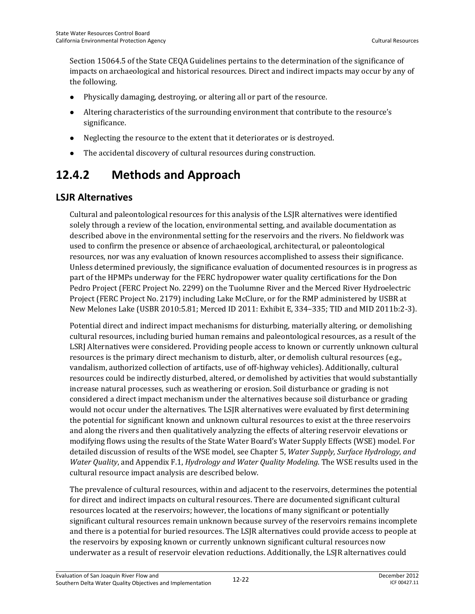Section 15064.5 of the State CEQA Guidelines pertains to the determination of the significance of impacts on archaeological and historical resources. Direct and indirect impacts may occur by any of the following.

- Physically damaging, destroying, or altering all or part of the resource.
- Altering characteristics of the surrounding environment that contribute to the resource's significance.
- Neglecting the resource to the extent that it deteriorates or is destroyed.
- The accidental discovery of cultural resources during construction.

# **12.4.2 Methods and Approach**

### **LSJR Alternatives**

Cultural and paleontological resources for this analysis of the LSJR alternatives were identified solely through a review of the location, environmental setting, and available documentation as described above in the environmental setting for the reservoirs and the rivers. No fieldwork was used to confirm the presence or absence of archaeological, architectural, or paleontological resources, nor was any evaluation of known resources accomplished to assess their significance. Unless determined previously, the significance evaluation of documented resources is in progress as part of the HPMPs underway for the FERC hydropower water quality certifications for the Don Pedro Project (FERC Project No. 2299) on the Tuolumne River and the Merced River Hydroelectric Project (FERC Project No. 2179) including Lake McClure, or for the RMP administered by USBR at New Melones Lake (USBR 2010:5.81; Merced ID 2011: Exhibit E, 334–335; TID and MID 2011b:2-3).

Potential direct and indirect impact mechanisms for disturbing, materially altering, or demolishing cultural resources, including buried human remains and paleontological resources, as a result of the LSRJ Alternatives were considered. Providing people access to known or currently unknown cultural resources is the primary direct mechanism to disturb, alter, or demolish cultural resources (e.g., vandalism, authorized collection of artifacts, use of off-highway vehicles). Additionally, cultural resources could be indirectly disturbed, altered, or demolished by activities that would substantially increase natural processes, such as weathering or erosion. Soil disturbance or grading is not considered a direct impact mechanism under the alternatives because soil disturbance or grading would not occur under the alternatives. The LSJR alternatives were evaluated by first determining the potential for significant known and unknown cultural resources to exist at the three reservoirs and along the rivers and then qualitatively analyzing the effects of altering reservoir elevations or modifying flows using the results of the State Water Board's Water Supply Effects (WSE) model. For detailed discussion of results of the WSE model, see Chapter 5, *Water Supply, Surface Hydrology, and Water Quality*, and Appendix F.1, *Hydrology and Water Quality Modeling*. The WSE results used in the cultural resource impact analysis are described below.

The prevalence of cultural resources, within and adjacent to the reservoirs, determines the potential for direct and indirect impacts on cultural resources. There are documented significant cultural resources located at the reservoirs; however, the locations of many significant or potentially significant cultural resources remain unknown because survey of the reservoirs remains incomplete and there is a potential for buried resources. The LSJR alternatives could provide access to people at the reservoirs by exposing known or currently unknown significant cultural resources now underwater as a result of reservoir elevation reductions. Additionally, the LSJR alternatives could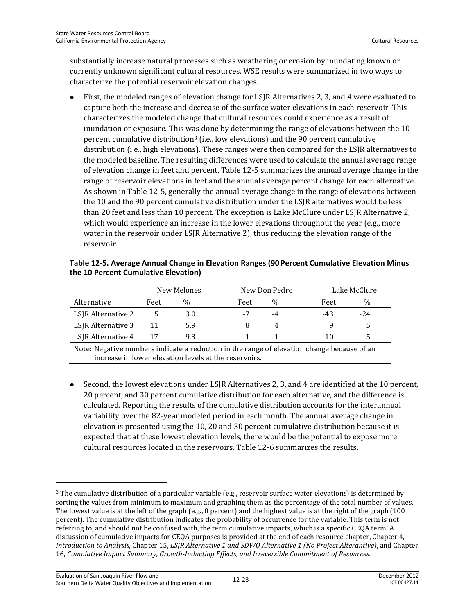substantially increase natural processes such as weathering or erosion by inundating known or currently unknown significant cultural resources. WSE results were summarized in two ways to characterize the potential reservoir elevation changes.

 First, the modeled ranges of elevation change for LSJR Alternatives 2, 3, and 4 were evaluated to capture both the increase and decrease of the surface water elevations in each reservoir. This characterizes the modeled change that cultural resources could experience as a result of inundation or exposure. This was done by determining the range of elevations between the 10 percent cumulative distribution3 (i.e., low elevations) and the 90 percent cumulative distribution (i.e., high elevations). These ranges were then compared for the LSJR alternatives to the modeled baseline. The resulting differences were used to calculate the annual average range of elevation change in feet and percent. Table 12-5 summarizes the annual average change in the range of reservoir elevations in feet and the annual average percent change for each alternative. As shown in Table 12-5, generally the annual average change in the range of elevations between the 10 and the 90 percent cumulative distribution under the LSJR alternatives would be less than 20 feet and less than 10 percent. The exception is Lake McClure under LSJR Alternative 2, which would experience an increase in the lower elevations throughout the year (e.g., more water in the reservoir under LSJR Alternative 2), thus reducing the elevation range of the reservoir.

| Table 12-5. Average Annual Change in Elevation Ranges (90 Percent Cumulative Elevation Minus |
|----------------------------------------------------------------------------------------------|
| the 10 Percent Cumulative Elevation)                                                         |
|                                                                                              |

|                    |      | New Melones   | New Don Pedro |               | Lake McClure |               |
|--------------------|------|---------------|---------------|---------------|--------------|---------------|
| Alternative        | Feet | $\frac{0}{0}$ | Feet          | $\frac{0}{0}$ | Feet         | $\frac{0}{0}$ |
| LSJR Alternative 2 |      | 3.0           | -7            | -4            | -43          | $-24$         |
| LSJR Alternative 3 | 11   | 5.9           |               |               |              |               |
| LSJR Alternative 4 | 17   | 9.3           |               |               | 10           |               |

Note: Negative numbers indicate a reduction in the range of elevation change because of an increase in lower elevation levels at the reservoirs.

 Second, the lowest elevations under LSJR Alternatives 2, 3, and 4 are identified at the 10 percent, 20 percent, and 30 percent cumulative distribution for each alternative, and the difference is calculated. Reporting the results of the cumulative distribution accounts for the interannual variability over the 82-year modeled period in each month. The annual average change in elevation is presented using the 10, 20 and 30 percent cumulative distribution because it is expected that at these lowest elevation levels, there would be the potential to expose more cultural resources located in the reservoirs. Table 12-6 summarizes the results.

l

 $3$  The cumulative distribution of a particular variable (e.g., reservoir surface water elevations) is determined by sorting the values from minimum to maximum and graphing them as the percentage of the total number of values. The lowest value is at the left of the graph (e.g., 0 percent) and the highest value is at the right of the graph (100 percent). The cumulative distribution indicates the probability of occurrence for the variable. This term is not referring to, and should not be confused with, the term cumulative impacts, which is a specific CEQA term. A discussion of cumulative impacts for CEQA purposes is provided at the end of each resource chapter, Chapter 4, *Introduction to Analysis*, Chapter 15, *LSJR Alternative 1 and SDWQ Alternative 1 (No Project Alterantive)*, and Chapter 16, *Cumulative Impact Summary, Growth-Inducting Effects, and Irreversible Commitment of Resources.*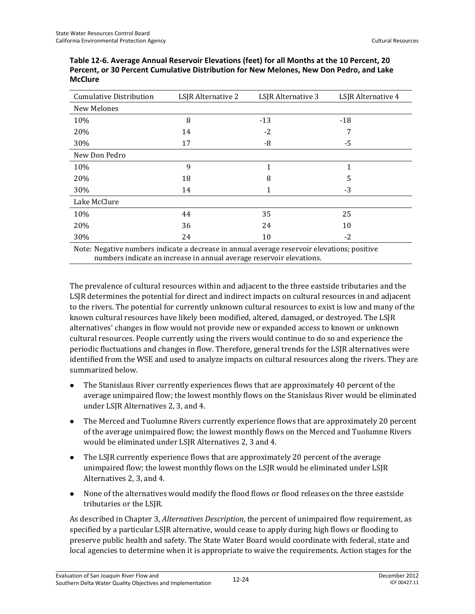| <b>Cumulative Distribution</b>                                                              | LSJR Alternative 2 | LSJR Alternative 3 | LSJR Alternative 4 |  |
|---------------------------------------------------------------------------------------------|--------------------|--------------------|--------------------|--|
| New Melones                                                                                 |                    |                    |                    |  |
| 10%                                                                                         | 8                  | $-13$              | $-18$              |  |
| 20%                                                                                         | 14                 | $-2$               | 7                  |  |
| 30%                                                                                         | 17                 | -8                 | $-5$               |  |
| New Don Pedro                                                                               |                    |                    |                    |  |
| 10%                                                                                         | 9                  | 1                  | 1                  |  |
| 20%                                                                                         | 18                 | 8                  | 5                  |  |
| 30%                                                                                         | 14                 | 1                  | $-3$               |  |
| Lake McClure                                                                                |                    |                    |                    |  |
| 10%                                                                                         | 44                 | 35                 | 25                 |  |
| 20%                                                                                         | 36                 | 24                 | 10                 |  |
| 30%                                                                                         | 24                 | 10                 | $-2$               |  |
| Note: Negative numbers indicate a decrease in annual average reservoir elevations: positive |                    |                    |                    |  |

**Table 12-6. Average Annual Reservoir Elevations (feet) for all Months at the 10 Percent, 20 Percent, or 30 Percent Cumulative Distribution for New Melones, New Don Pedro, and Lake McClure** 

Note: Negative numbers indicate a decrease in annual average reservoir elevations; positive numbers indicate an increase in annual average reservoir elevations.

The prevalence of cultural resources within and adjacent to the three eastside tributaries and the LSJR determines the potential for direct and indirect impacts on cultural resources in and adjacent to the rivers. The potential for currently unknown cultural resources to exist is low and many of the known cultural resources have likely been modified, altered, damaged, or destroyed. The LSJR alternatives' changes in flow would not provide new or expanded access to known or unknown cultural resources. People currently using the rivers would continue to do so and experience the periodic fluctuations and changes in flow. Therefore, general trends for the LSJR alternatives were identified from the WSE and used to analyze impacts on cultural resources along the rivers. They are summarized below.

- The Stanislaus River currently experiences flows that are approximately 40 percent of the average unimpaired flow; the lowest monthly flows on the Stanislaus River would be eliminated under LSJR Alternatives 2, 3, and 4.
- The Merced and Tuolumne Rivers currently experience flows that are approximately 20 percent of the average unimpaired flow; the lowest monthly flows on the Merced and Tuolumne Rivers would be eliminated under LSJR Alternatives 2, 3 and 4.
- The LSJR currently experience flows that are approximately 20 percent of the average unimpaired flow; the lowest monthly flows on the LSJR would be eliminated under LSJR Alternatives 2, 3, and 4.
- None of the alternatives would modify the flood flows or flood releases on the three eastside tributaries or the LSJR.

As described in Chapter 3, *Alternatives Description*, the percent of unimpaired flow requirement, as specified by a particular LSJR alternative, would cease to apply during high flows or flooding to preserve public health and safety. The State Water Board would coordinate with federal, state and local agencies to determine when it is appropriate to waive the requirements. Action stages for the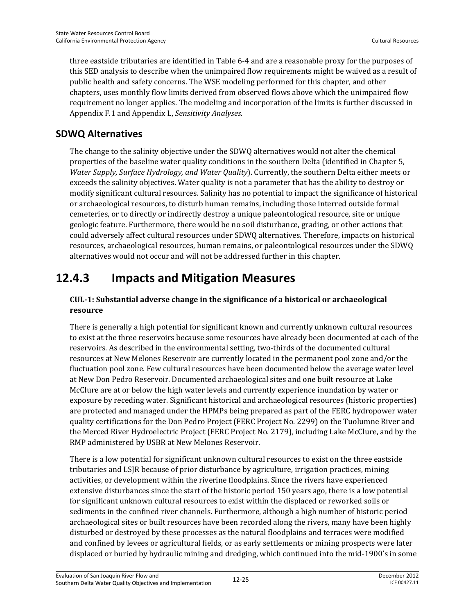three eastside tributaries are identified in Table 6-4 and are a reasonable proxy for the purposes of this SED analysis to describe when the unimpaired flow requirements might be waived as a result of public health and safety concerns. The WSE modeling performed for this chapter, and other chapters, uses monthly flow limits derived from observed flows above which the unimpaired flow requirement no longer applies. The modeling and incorporation of the limits is further discussed in Appendix F.1 and Appendix L, *Sensitivity Analyses*.

### **SDWQ Alternatives**

The change to the salinity objective under the SDWQ alternatives would not alter the chemical properties of the baseline water quality conditions in the southern Delta (identified in Chapter 5, *Water Supply, Surface Hydrology, and Water Quality*). Currently, the southern Delta either meets or exceeds the salinity objectives. Water quality is not a parameter that has the ability to destroy or modify significant cultural resources. Salinity has no potential to impact the significance of historical or archaeological resources, to disturb human remains, including those interred outside formal cemeteries, or to directly or indirectly destroy a unique paleontological resource, site or unique geologic feature. Furthermore, there would be no soil disturbance, grading, or other actions that could adversely affect cultural resources under SDWQ alternatives. Therefore, impacts on historical resources, archaeological resources, human remains, or paleontological resources under the SDWQ alternatives would not occur and will not be addressed further in this chapter.

# **12.4.3 Impacts and Mitigation Measures**

### **CUL-1: Substantial adverse change in the significance of a historical or archaeological resource**

There is generally a high potential for significant known and currently unknown cultural resources to exist at the three reservoirs because some resources have already been documented at each of the reservoirs. As described in the environmental setting, two-thirds of the documented cultural resources at New Melones Reservoir are currently located in the permanent pool zone and/or the fluctuation pool zone. Few cultural resources have been documented below the average water level at New Don Pedro Reservoir. Documented archaeological sites and one built resource at Lake McClure are at or below the high water levels and currently experience inundation by water or exposure by receding water. Significant historical and archaeological resources (historic properties) are protected and managed under the HPMPs being prepared as part of the FERC hydropower water quality certifications for the Don Pedro Project (FERC Project No. 2299) on the Tuolumne River and the Merced River Hydroelectric Project (FERC Project No. 2179), including Lake McClure, and by the RMP administered by USBR at New Melones Reservoir.

There is a low potential for significant unknown cultural resources to exist on the three eastside tributaries and LSJR because of prior disturbance by agriculture, irrigation practices, mining activities, or development within the riverine floodplains. Since the rivers have experienced extensive disturbances since the start of the historic period 150 years ago, there is a low potential for significant unknown cultural resources to exist within the displaced or reworked soils or sediments in the confined river channels. Furthermore, although a high number of historic period archaeological sites or built resources have been recorded along the rivers, many have been highly disturbed or destroyed by these processes as the natural floodplains and terraces were modified and confined by levees or agricultural fields, or as early settlements or mining prospects were later displaced or buried by hydraulic mining and dredging, which continued into the mid-1900's in some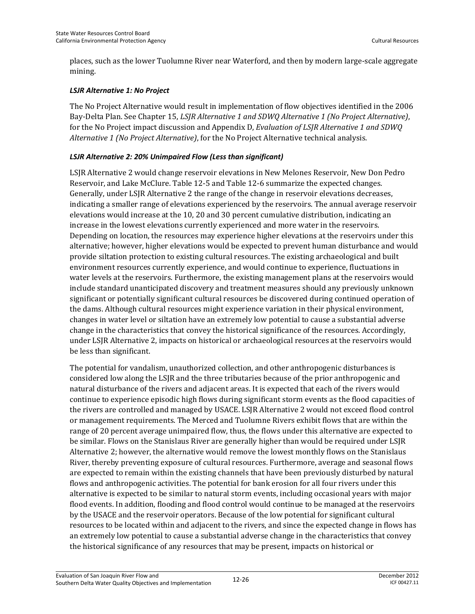places, such as the lower Tuolumne River near Waterford, and then by modern large-scale aggregate mining.

### *LSJR Alternative 1: No Project*

The No Project Alternative would result in implementation of flow objectives identified in the 2006 Bay-Delta Plan. See Chapter 15, *LSJR Alternative 1 and SDWQ Alternative 1 (No Project Alternative)*, for the No Project impact discussion and Appendix D, *Evaluation of LSJR Alternative 1 and SDWQ Alternative 1 (No Project Alternative)*, for the No Project Alternative technical analysis.

### *LSJR Alternative 2: 20% Unimpaired Flow (Less than significant)*

LSJR Alternative 2 would change reservoir elevations in New Melones Reservoir, New Don Pedro Reservoir, and Lake McClure. Table 12-5 and Table 12-6 summarize the expected changes. Generally, under LSJR Alternative 2 the range of the change in reservoir elevations decreases, indicating a smaller range of elevations experienced by the reservoirs. The annual average reservoir elevations would increase at the 10, 20 and 30 percent cumulative distribution, indicating an increase in the lowest elevations currently experienced and more water in the reservoirs. Depending on location, the resources may experience higher elevations at the reservoirs under this alternative; however, higher elevations would be expected to prevent human disturbance and would provide siltation protection to existing cultural resources. The existing archaeological and built environment resources currently experience, and would continue to experience, fluctuations in water levels at the reservoirs. Furthermore, the existing management plans at the reservoirs would include standard unanticipated discovery and treatment measures should any previously unknown significant or potentially significant cultural resources be discovered during continued operation of the dams. Although cultural resources might experience variation in their physical environment, changes in water level or siltation have an extremely low potential to cause a substantial adverse change in the characteristics that convey the historical significance of the resources. Accordingly, under LSJR Alternative 2, impacts on historical or archaeological resources at the reservoirs would be less than significant.

The potential for vandalism, unauthorized collection, and other anthropogenic disturbances is considered low along the LSJR and the three tributaries because of the prior anthropogenic and natural disturbance of the rivers and adjacent areas. It is expected that each of the rivers would continue to experience episodic high flows during significant storm events as the flood capacities of the rivers are controlled and managed by USACE. LSJR Alternative 2 would not exceed flood control or management requirements. The Merced and Tuolumne Rivers exhibit flows that are within the range of 20 percent average unimpaired flow, thus, the flows under this alternative are expected to be similar. Flows on the Stanislaus River are generally higher than would be required under LSJR Alternative 2; however, the alternative would remove the lowest monthly flows on the Stanislaus River, thereby preventing exposure of cultural resources. Furthermore, average and seasonal flows are expected to remain within the existing channels that have been previously disturbed by natural flows and anthropogenic activities. The potential for bank erosion for all four rivers under this alternative is expected to be similar to natural storm events, including occasional years with major flood events. In addition, flooding and flood control would continue to be managed at the reservoirs by the USACE and the reservoir operators. Because of the low potential for significant cultural resources to be located within and adjacent to the rivers, and since the expected change in flows has an extremely low potential to cause a substantial adverse change in the characteristics that convey the historical significance of any resources that may be present, impacts on historical or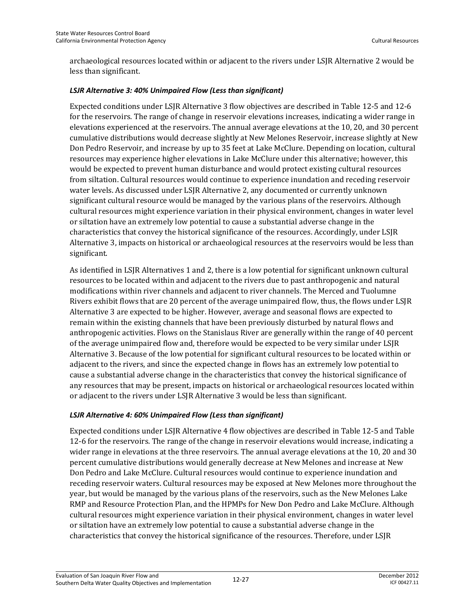archaeological resources located within or adjacent to the rivers under LSJR Alternative 2 would be less than significant.

### *LSJR Alternative 3: 40% Unimpaired Flow (Less than significant)*

Expected conditions under LSJR Alternative 3 flow objectives are described in Table 12-5 and 12-6 for the reservoirs. The range of change in reservoir elevations increases, indicating a wider range in elevations experienced at the reservoirs. The annual average elevations at the 10, 20, and 30 percent cumulative distributions would decrease slightly at New Melones Reservoir, increase slightly at New Don Pedro Reservoir, and increase by up to 35 feet at Lake McClure. Depending on location, cultural resources may experience higher elevations in Lake McClure under this alternative; however, this would be expected to prevent human disturbance and would protect existing cultural resources from siltation. Cultural resources would continue to experience inundation and receding reservoir water levels. As discussed under LSJR Alternative 2, any documented or currently unknown significant cultural resource would be managed by the various plans of the reservoirs. Although cultural resources might experience variation in their physical environment, changes in water level or siltation have an extremely low potential to cause a substantial adverse change in the characteristics that convey the historical significance of the resources. Accordingly, under LSJR Alternative 3, impacts on historical or archaeological resources at the reservoirs would be less than significant.

As identified in LSJR Alternatives 1 and 2, there is a low potential for significant unknown cultural resources to be located within and adjacent to the rivers due to past anthropogenic and natural modifications within river channels and adjacent to river channels. The Merced and Tuolumne Rivers exhibit flows that are 20 percent of the average unimpaired flow, thus, the flows under LSJR Alternative 3 are expected to be higher. However, average and seasonal flows are expected to remain within the existing channels that have been previously disturbed by natural flows and anthropogenic activities. Flows on the Stanislaus River are generally within the range of 40 percent of the average unimpaired flow and, therefore would be expected to be very similar under LSJR Alternative 3. Because of the low potential for significant cultural resources to be located within or adjacent to the rivers, and since the expected change in flows has an extremely low potential to cause a substantial adverse change in the characteristics that convey the historical significance of any resources that may be present, impacts on historical or archaeological resources located within or adjacent to the rivers under LSJR Alternative 3 would be less than significant.

### *LSJR Alternative 4: 60% Unimpaired Flow (Less than significant)*

Expected conditions under LSJR Alternative 4 flow objectives are described in Table 12-5 and Table 12-6 for the reservoirs. The range of the change in reservoir elevations would increase, indicating a wider range in elevations at the three reservoirs. The annual average elevations at the 10, 20 and 30 percent cumulative distributions would generally decrease at New Melones and increase at New Don Pedro and Lake McClure. Cultural resources would continue to experience inundation and receding reservoir waters. Cultural resources may be exposed at New Melones more throughout the year, but would be managed by the various plans of the reservoirs, such as the New Melones Lake RMP and Resource Protection Plan, and the HPMPs for New Don Pedro and Lake McClure. Although cultural resources might experience variation in their physical environment, changes in water level or siltation have an extremely low potential to cause a substantial adverse change in the characteristics that convey the historical significance of the resources. Therefore, under LSJR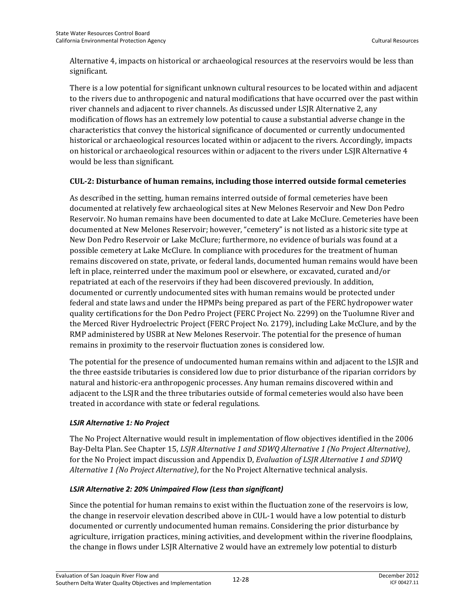Alternative 4, impacts on historical or archaeological resources at the reservoirs would be less than significant.

There is a low potential for significant unknown cultural resources to be located within and adjacent to the rivers due to anthropogenic and natural modifications that have occurred over the past within river channels and adjacent to river channels. As discussed under LSJR Alternative 2, any modification of flows has an extremely low potential to cause a substantial adverse change in the characteristics that convey the historical significance of documented or currently undocumented historical or archaeological resources located within or adjacent to the rivers. Accordingly, impacts on historical or archaeological resources within or adjacent to the rivers under LSJR Alternative 4 would be less than significant.

### **CUL-2: Disturbance of human remains, including those interred outside formal cemeteries**

As described in the setting, human remains interred outside of formal cemeteries have been documented at relatively few archaeological sites at New Melones Reservoir and New Don Pedro Reservoir. No human remains have been documented to date at Lake McClure. Cemeteries have been documented at New Melones Reservoir; however, "cemetery" is not listed as a historic site type at New Don Pedro Reservoir or Lake McClure; furthermore, no evidence of burials was found at a possible cemetery at Lake McClure. In compliance with procedures for the treatment of human remains discovered on state, private, or federal lands, documented human remains would have been left in place, reinterred under the maximum pool or elsewhere, or excavated, curated and/or repatriated at each of the reservoirs if they had been discovered previously. In addition, documented or currently undocumented sites with human remains would be protected under federal and state laws and under the HPMPs being prepared as part of the FERC hydropower water quality certifications for the Don Pedro Project (FERC Project No. 2299) on the Tuolumne River and the Merced River Hydroelectric Project (FERC Project No. 2179), including Lake McClure, and by the RMP administered by USBR at New Melones Reservoir. The potential for the presence of human remains in proximity to the reservoir fluctuation zones is considered low.

The potential for the presence of undocumented human remains within and adjacent to the LSJR and the three eastside tributaries is considered low due to prior disturbance of the riparian corridors by natural and historic-era anthropogenic processes. Any human remains discovered within and adjacent to the LSJR and the three tributaries outside of formal cemeteries would also have been treated in accordance with state or federal regulations.

### *LSJR Alternative 1: No Project*

The No Project Alternative would result in implementation of flow objectives identified in the 2006 Bay-Delta Plan. See Chapter 15, *LSJR Alternative 1 and SDWQ Alternative 1 (No Project Alternative)*, for the No Project impact discussion and Appendix D, *Evaluation of LSJR Alternative 1 and SDWQ Alternative 1 (No Project Alternative)*, for the No Project Alternative technical analysis.

### *LSJR Alternative 2: 20% Unimpaired Flow (Less than significant)*

Since the potential for human remains to exist within the fluctuation zone of the reservoirs is low, the change in reservoir elevation described above in CUL-1 would have a low potential to disturb documented or currently undocumented human remains. Considering the prior disturbance by agriculture, irrigation practices, mining activities, and development within the riverine floodplains, the change in flows under LSJR Alternative 2 would have an extremely low potential to disturb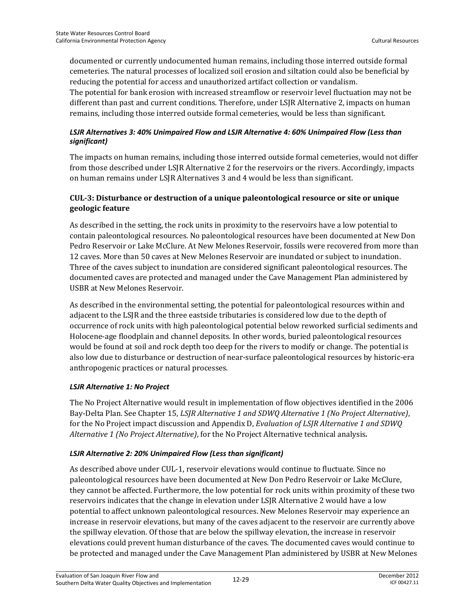documented or currently undocumented human remains, including those interred outside formal cemeteries. The natural processes of localized soil erosion and siltation could also be beneficial by reducing the potential for access and unauthorized artifact collection or vandalism. The potential for bank erosion with increased streamflow or reservoir level fluctuation may not be different than past and current conditions. Therefore, under LSJR Alternative 2, impacts on human remains, including those interred outside formal cemeteries, would be less than significant.

### *LSJR Alternatives 3: 40% Unimpaired Flow and LSJR Alternative 4: 60% Unimpaired Flow (Less than significant)*

The impacts on human remains, including those interred outside formal cemeteries, would not differ from those described under LSJR Alternative 2 for the reservoirs or the rivers. Accordingly, impacts on human remains under LSJR Alternatives 3 and 4 would be less than significant.

### **CUL-3: Disturbance or destruction of a unique paleontological resource or site or unique geologic feature**

As described in the setting, the rock units in proximity to the reservoirs have a low potential to contain paleontological resources. No paleontological resources have been documented at New Don Pedro Reservoir or Lake McClure. At New Melones Reservoir, fossils were recovered from more than 12 caves. More than 50 caves at New Melones Reservoir are inundated or subject to inundation. Three of the caves subject to inundation are considered significant paleontological resources. The documented caves are protected and managed under the Cave Management Plan administered by USBR at New Melones Reservoir.

As described in the environmental setting, the potential for paleontological resources within and adjacent to the LSJR and the three eastside tributaries is considered low due to the depth of occurrence of rock units with high paleontological potential below reworked surficial sediments and Holocene-age floodplain and channel deposits. In other words, buried paleontological resources would be found at soil and rock depth too deep for the rivers to modify or change. The potential is also low due to disturbance or destruction of near-surface paleontological resources by historic-era anthropogenic practices or natural processes.

### *LSJR Alternative 1: No Project*

The No Project Alternative would result in implementation of flow objectives identified in the 2006 Bay-Delta Plan. See Chapter 15, *LSJR Alternative 1 and SDWQ Alternative 1 (No Project Alternative)*, for the No Project impact discussion and Appendix D, *Evaluation of LSJR Alternative 1 and SDWQ Alternative 1 (No Project Alternative)*, for the No Project Alternative technical analysis*.*

### *LSJR Alternative 2: 20% Unimpaired Flow (Less than significant)*

As described above under CUL-1, reservoir elevations would continue to fluctuate. Since no paleontological resources have been documented at New Don Pedro Reservoir or Lake McClure, they cannot be affected. Furthermore, the low potential for rock units within proximity of these two reservoirs indicates that the change in elevation under LSJR Alternative 2 would have a low potential to affect unknown paleontological resources. New Melones Reservoir may experience an increase in reservoir elevations, but many of the caves adjacent to the reservoir are currently above the spillway elevation. Of those that are below the spillway elevation, the increase in reservoir elevations could prevent human disturbance of the caves. The documented caves would continue to be protected and managed under the Cave Management Plan administered by USBR at New Melones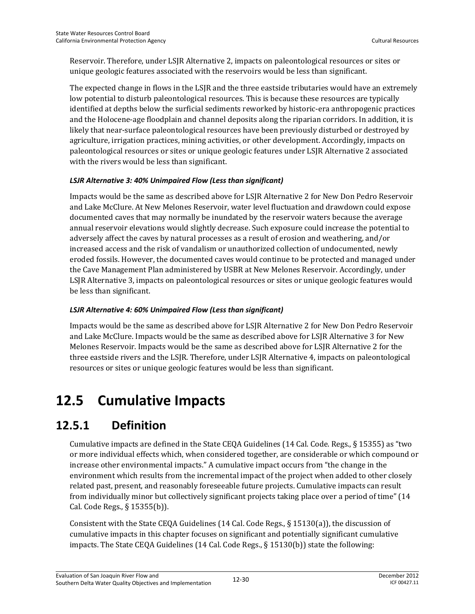Reservoir. Therefore, under LSJR Alternative 2, impacts on paleontological resources or sites or unique geologic features associated with the reservoirs would be less than significant.

The expected change in flows in the LSJR and the three eastside tributaries would have an extremely low potential to disturb paleontological resources. This is because these resources are typically identified at depths below the surficial sediments reworked by historic-era anthropogenic practices and the Holocene-age floodplain and channel deposits along the riparian corridors. In addition, it is likely that near-surface paleontological resources have been previously disturbed or destroyed by agriculture, irrigation practices, mining activities, or other development. Accordingly, impacts on paleontological resources or sites or unique geologic features under LSJR Alternative 2 associated with the rivers would be less than significant.

### *LSJR Alternative 3: 40% Unimpaired Flow (Less than significant)*

Impacts would be the same as described above for LSJR Alternative 2 for New Don Pedro Reservoir and Lake McClure. At New Melones Reservoir, water level fluctuation and drawdown could expose documented caves that may normally be inundated by the reservoir waters because the average annual reservoir elevations would slightly decrease. Such exposure could increase the potential to adversely affect the caves by natural processes as a result of erosion and weathering, and/or increased access and the risk of vandalism or unauthorized collection of undocumented, newly eroded fossils. However, the documented caves would continue to be protected and managed under the Cave Management Plan administered by USBR at New Melones Reservoir. Accordingly, under LSJR Alternative 3, impacts on paleontological resources or sites or unique geologic features would be less than significant.

### *LSJR Alternative 4: 60% Unimpaired Flow (Less than significant)*

Impacts would be the same as described above for LSJR Alternative 2 for New Don Pedro Reservoir and Lake McClure. Impacts would be the same as described above for LSJR Alternative 3 for New Melones Reservoir. Impacts would be the same as described above for LSJR Alternative 2 for the three eastside rivers and the LSJR. Therefore, under LSJR Alternative 4, impacts on paleontological resources or sites or unique geologic features would be less than significant.

# **12.5 Cumulative Impacts**

# **12.5.1 Definition**

Cumulative impacts are defined in the State CEQA Guidelines (14 Cal. Code. Regs., § 15355) as "two or more individual effects which, when considered together, are considerable or which compound or increase other environmental impacts." A cumulative impact occurs from "the change in the environment which results from the incremental impact of the project when added to other closely related past, present, and reasonably foreseeable future projects. Cumulative impacts can result from individually minor but collectively significant projects taking place over a period of time" (14 Cal. Code Regs., § 15355(b)).

Consistent with the State CEQA Guidelines (14 Cal. Code Regs., § 15130(a)), the discussion of cumulative impacts in this chapter focuses on significant and potentially significant cumulative impacts. The State CEQA Guidelines (14 Cal. Code Regs., § 15130(b)) state the following: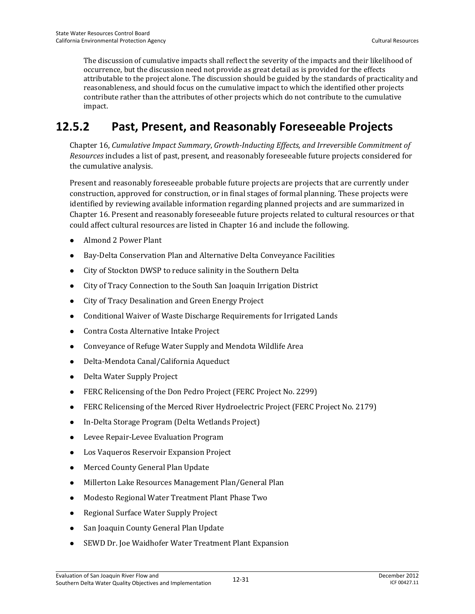The discussion of cumulative impacts shall reflect the severity of the impacts and their likelihood of occurrence, but the discussion need not provide as great detail as is provided for the effects attributable to the project alone. The discussion should be guided by the standards of practicality and reasonableness, and should focus on the cumulative impact to which the identified other projects contribute rather than the attributes of other projects which do not contribute to the cumulative impact.

## **12.5.2 Past, Present, and Reasonably Foreseeable Projects**

Chapter 16, *Cumulative Impact Summary*, *Growth-Inducting Effects, and Irreversible Commitment of Resources* includes a list of past, present, and reasonably foreseeable future projects considered for the cumulative analysis.

Present and reasonably foreseeable probable future projects are projects that are currently under construction, approved for construction, or in final stages of formal planning. These projects were identified by reviewing available information regarding planned projects and are summarized in Chapter 16. Present and reasonably foreseeable future projects related to cultural resources or that could affect cultural resources are listed in Chapter 16 and include the following.

- Almond 2 Power Plant
- Bay-Delta Conservation Plan and Alternative Delta Conveyance Facilities
- City of Stockton DWSP to reduce salinity in the Southern Delta
- City of Tracy Connection to the South San Joaquin Irrigation District
- City of Tracy Desalination and Green Energy Project
- Conditional Waiver of Waste Discharge Requirements for Irrigated Lands
- Contra Costa Alternative Intake Project
- Conveyance of Refuge Water Supply and Mendota Wildlife Area
- Delta-Mendota Canal/California Aqueduct
- Delta Water Supply Project
- FERC Relicensing of the Don Pedro Project (FERC Project No. 2299)
- FERC Relicensing of the Merced River Hydroelectric Project (FERC Project No. 2179)
- In-Delta Storage Program (Delta Wetlands Project)
- Levee Repair-Levee Evaluation Program
- Los Vaqueros Reservoir Expansion Project
- Merced County General Plan Update
- Millerton Lake Resources Management Plan/General Plan
- Modesto Regional Water Treatment Plant Phase Two
- Regional Surface Water Supply Project
- San Joaquin County General Plan Update
- SEWD Dr. Joe Waidhofer Water Treatment Plant Expansion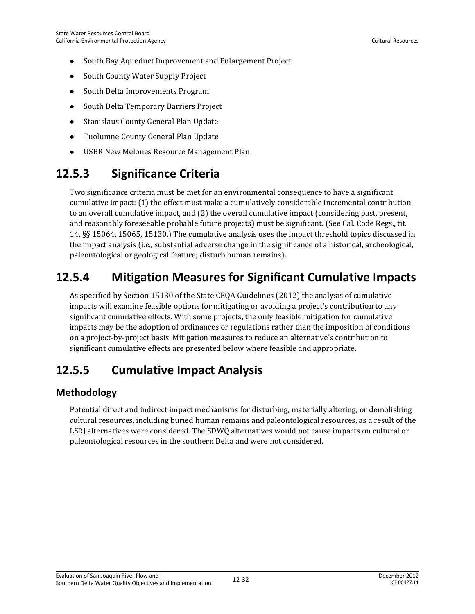- South Bay Aqueduct Improvement and Enlargement Project
- South County Water Supply Project
- South Delta Improvements Program
- South Delta Temporary Barriers Project
- Stanislaus County General Plan Update
- Tuolumne County General Plan Update
- USBR New Melones Resource Management Plan

# **12.5.3 Significance Criteria**

Two significance criteria must be met for an environmental consequence to have a significant cumulative impact: (1) the effect must make a cumulatively considerable incremental contribution to an overall cumulative impact, and (2) the overall cumulative impact (considering past, present, and reasonably foreseeable probable future projects) must be significant. (See Cal. Code Regs., tit. 14, §§ 15064, 15065, 15130.) The cumulative analysis uses the impact threshold topics discussed in the impact analysis (i.e., substantial adverse change in the significance of a historical, archeological, paleontological or geological feature; disturb human remains).

# **12.5.4 Mitigation Measures for Significant Cumulative Impacts**

As specified by Section 15130 of the State CEQA Guidelines (2012) the analysis of cumulative impacts will examine feasible options for mitigating or avoiding a project's contribution to any significant cumulative effects. With some projects, the only feasible mitigation for cumulative impacts may be the adoption of ordinances or regulations rather than the imposition of conditions on a project-by-project basis. Mitigation measures to reduce an alternative's contribution to significant cumulative effects are presented below where feasible and appropriate.

# **12.5.5 Cumulative Impact Analysis**

### **Methodology**

Potential direct and indirect impact mechanisms for disturbing, materially altering, or demolishing cultural resources, including buried human remains and paleontological resources, as a result of the LSRJ alternatives were considered. The SDWQ alternatives would not cause impacts on cultural or paleontological resources in the southern Delta and were not considered.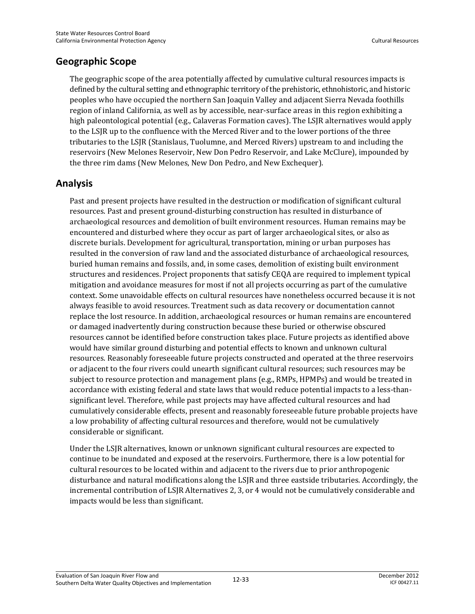### **Geographic Scope**

The geographic scope of the area potentially affected by cumulative cultural resources impacts is defined by the cultural setting and ethnographic territory of the prehistoric, ethnohistoric, and historic peoples who have occupied the northern San Joaquin Valley and adjacent Sierra Nevada foothills region of inland California, as well as by accessible, near-surface areas in this region exhibiting a high paleontological potential (e.g., Calaveras Formation caves). The LSJR alternatives would apply to the LSJR up to the confluence with the Merced River and to the lower portions of the three tributaries to the LSJR (Stanislaus, Tuolumne, and Merced Rivers) upstream to and including the reservoirs (New Melones Reservoir, New Don Pedro Reservoir, and Lake McClure), impounded by the three rim dams (New Melones, New Don Pedro, and New Exchequer).

### **Analysis**

Past and present projects have resulted in the destruction or modification of significant cultural resources. Past and present ground-disturbing construction has resulted in disturbance of archaeological resources and demolition of built environment resources. Human remains may be encountered and disturbed where they occur as part of larger archaeological sites, or also as discrete burials. Development for agricultural, transportation, mining or urban purposes has resulted in the conversion of raw land and the associated disturbance of archaeological resources, buried human remains and fossils, and, in some cases, demolition of existing built environment structures and residences. Project proponents that satisfy CEQA are required to implement typical mitigation and avoidance measures for most if not all projects occurring as part of the cumulative context. Some unavoidable effects on cultural resources have nonetheless occurred because it is not always feasible to avoid resources. Treatment such as data recovery or documentation cannot replace the lost resource. In addition, archaeological resources or human remains are encountered or damaged inadvertently during construction because these buried or otherwise obscured resources cannot be identified before construction takes place. Future projects as identified above would have similar ground disturbing and potential effects to known and unknown cultural resources. Reasonably foreseeable future projects constructed and operated at the three reservoirs or adjacent to the four rivers could unearth significant cultural resources; such resources may be subject to resource protection and management plans (e.g., RMPs, HPMPs) and would be treated in accordance with existing federal and state laws that would reduce potential impacts to a less-thansignificant level. Therefore, while past projects may have affected cultural resources and had cumulatively considerable effects, present and reasonably foreseeable future probable projects have a low probability of affecting cultural resources and therefore, would not be cumulatively considerable or significant.

Under the LSJR alternatives, known or unknown significant cultural resources are expected to continue to be inundated and exposed at the reservoirs. Furthermore, there is a low potential for cultural resources to be located within and adjacent to the rivers due to prior anthropogenic disturbance and natural modifications along the LSJR and three eastside tributaries. Accordingly, the incremental contribution of LSJR Alternatives 2, 3, or 4 would not be cumulatively considerable and impacts would be less than significant.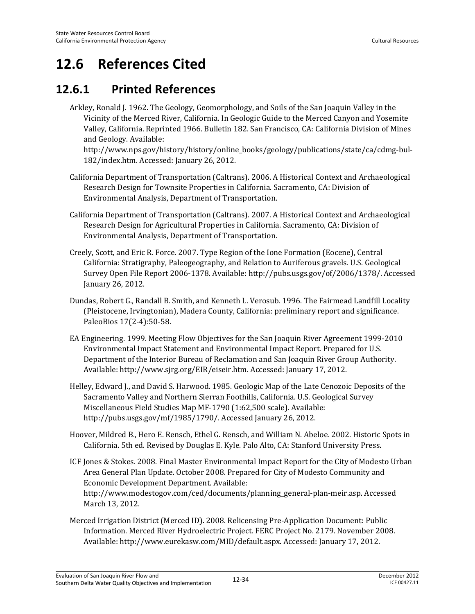# **12.6 References Cited**

# **12.6.1 Printed References**

Arkley, Ronald J. 1962. The Geology, Geomorphology, and Soils of the San Joaquin Valley in the Vicinity of the Merced River, California. In Geologic Guide to the Merced Canyon and Yosemite Valley, California. Reprinted 1966. Bulletin 182. San Francisco, CA: California Division of Mines and Geology. Available:

http://www.nps.gov/history/history/online\_books/geology/publications/state/ca/cdmg-bul-182/index.htm. Accessed: January 26, 2012.

- California Department of Transportation (Caltrans). 2006. A Historical Context and Archaeological Research Design for Townsite Properties in California. Sacramento, CA: Division of Environmental Analysis, Department of Transportation.
- California Department of Transportation (Caltrans). 2007. A Historical Context and Archaeological Research Design for Agricultural Properties in California. Sacramento, CA: Division of Environmental Analysis, Department of Transportation.
- Creely, Scott, and Eric R. Force. 2007. Type Region of the Ione Formation (Eocene), Central California: Stratigraphy, Paleogeography, and Relation to Auriferous gravels. U.S. Geological Survey Open File Report 2006-1378. Available: http://pubs.usgs.gov/of/2006/1378/. Accessed January 26, 2012.
- Dundas, Robert G., Randall B. Smith, and Kenneth L. Verosub. 1996. The Fairmead Landfill Locality (Pleistocene, Irvingtonian), Madera County, California: preliminary report and significance. PaleoBios 17(2-4):50-58.
- EA Engineering. 1999. Meeting Flow Objectives for the San Joaquin River Agreement 1999-2010 Environmental Impact Statement and Environmental Impact Report. Prepared for U.S. Department of the Interior Bureau of Reclamation and San Joaquin River Group Authority. Available: http://www.sjrg.org/EIR/eiseir.htm. Accessed: January 17, 2012.
- Helley, Edward J., and David S. Harwood. 1985. Geologic Map of the Late Cenozoic Deposits of the Sacramento Valley and Northern Sierran Foothills, California. U.S. Geological Survey Miscellaneous Field Studies Map MF-1790 (1:62,500 scale). Available: http://pubs.usgs.gov/mf/1985/1790/. Accessed January 26, 2012.
- Hoover, Mildred B., Hero E. Rensch, Ethel G. Rensch, and William N. Abeloe. 2002. Historic Spots in California. 5th ed. Revised by Douglas E. Kyle. Palo Alto, CA: Stanford University Press.
- ICF Jones & Stokes. 2008. Final Master Environmental Impact Report for the City of Modesto Urban Area General Plan Update. October 2008. Prepared for City of Modesto Community and Economic Development Department. Available: http://www.modestogov.com/ced/documents/planning\_general-plan-meir.asp. Accessed March 13, 2012.
- Merced Irrigation District (Merced ID). 2008. Relicensing Pre-Application Document: Public Information. Merced River Hydroelectric Project. FERC Project No. 2179. November 2008. Available: http://www.eurekasw.com/MID/default.aspx. Accessed: January 17, 2012.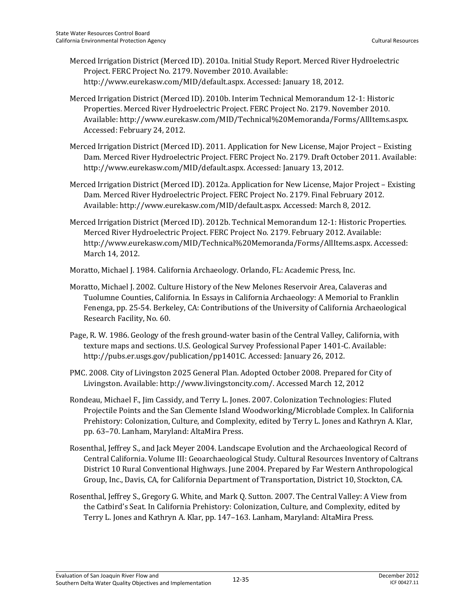- Merced Irrigation District (Merced ID). 2010a. Initial Study Report. Merced River Hydroelectric Project. FERC Project No. 2179. November 2010. Available: http://www.eurekasw.com/MID/default.aspx. Accessed: January 18, 2012.
- Merced Irrigation District (Merced ID). 2010b. Interim Technical Memorandum 12-1: Historic Properties. Merced River Hydroelectric Project. FERC Project No. 2179. November 2010. Available: http://www.eurekasw.com/MID/Technical%20Memoranda/Forms/AllItems.aspx. Accessed: February 24, 2012.
- Merced Irrigation District (Merced ID). 2011. Application for New License, Major Project Existing Dam. Merced River Hydroelectric Project. FERC Project No. 2179. Draft October 2011. Available: http://www.eurekasw.com/MID/default.aspx. Accessed: January 13, 2012.
- Merced Irrigation District (Merced ID). 2012a. Application for New License, Major Project Existing Dam. Merced River Hydroelectric Project. FERC Project No. 2179. Final February 2012. Available: http://www.eurekasw.com/MID/default.aspx. Accessed: March 8, 2012.
- Merced Irrigation District (Merced ID). 2012b. Technical Memorandum 12-1: Historic Properties. Merced River Hydroelectric Project. FERC Project No. 2179. February 2012. Available: http://www.eurekasw.com/MID/Technical%20Memoranda/Forms/AllItems.aspx. Accessed: March 14, 2012.

Moratto, Michael J. 1984. California Archaeology. Orlando, FL: Academic Press, Inc.

- Moratto, Michael J. 2002. Culture History of the New Melones Reservoir Area, Calaveras and Tuolumne Counties, California. In Essays in California Archaeology: A Memorial to Franklin Fenenga, pp. 25-54. Berkeley, CA: Contributions of the University of California Archaeological Research Facility, No. 60.
- Page, R. W. 1986. Geology of the fresh ground-water basin of the Central Valley, California, with texture maps and sections. U.S. Geological Survey Professional Paper 1401-C. Available: http://pubs.er.usgs.gov/publication/pp1401C. Accessed: January 26, 2012.
- PMC. 2008. City of Livingston 2025 General Plan. Adopted October 2008. Prepared for City of Livingston. Available: http://www.livingstoncity.com/. Accessed March 12, 2012
- Rondeau, Michael F., Jim Cassidy, and Terry L. Jones. 2007. Colonization Technologies: Fluted Projectile Points and the San Clemente Island Woodworking/Microblade Complex. In California Prehistory: Colonization, Culture, and Complexity, edited by Terry L. Jones and Kathryn A. Klar, pp. 63–70. Lanham, Maryland: AltaMira Press.
- Rosenthal, Jeffrey S., and Jack Meyer 2004. Landscape Evolution and the Archaeological Record of Central California. Volume III: Geoarchaeological Study. Cultural Resources Inventory of Caltrans District 10 Rural Conventional Highways. June 2004. Prepared by Far Western Anthropological Group, Inc., Davis, CA, for California Department of Transportation, District 10, Stockton, CA.
- Rosenthal, Jeffrey S., Gregory G. White, and Mark Q. Sutton. 2007. The Central Valley: A View from the Catbird's Seat. In California Prehistory: Colonization, Culture, and Complexity, edited by Terry L. Jones and Kathryn A. Klar, pp. 147–163. Lanham, Maryland: AltaMira Press.